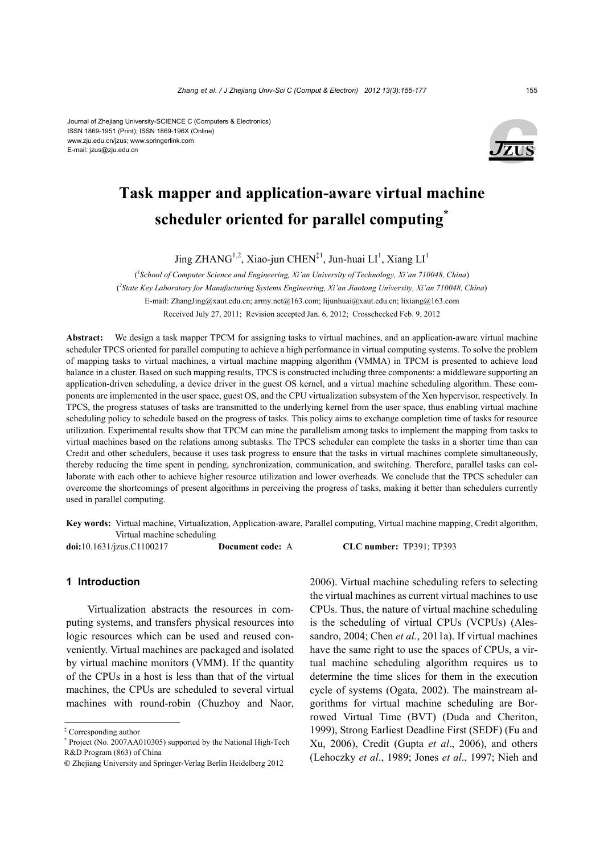#### Journal of Zhejiang University-SCIENCE C (Computers & Electronics) ISSN 1869-1951 (Print); ISSN 1869-196X (Online) www.zju.edu.cn/jzus; www.springerlink.com E-mail: jzus@zju.edu.cn



# **Task mapper and application-aware virtual machine scheduler oriented for parallel computing\***

Jing ZHANG<sup>1,2</sup>, Xiao-jun CHEN<sup>‡1</sup>, Jun-huai LI<sup>1</sup>, Xiang LI<sup>1</sup>

( *1 School of Computer Science and Engineering, Xi'an University of Technology, Xi'an 710048, China*) ( *2 State Key Laboratory for Manufacturing Systems Engineering, Xi'an Jiaotong University, Xi'an 710048, China*) E-mail: ZhangJing@xaut.edu.cn; army.net@163.com; lijunhuai@xaut.edu.cn; lixiang@163.com Received July 27, 2011; Revision accepted Jan. 6, 2012; Crosschecked Feb. 9, 2012

**Abstract:** We design a task mapper TPCM for assigning tasks to virtual machines, and an application-aware virtual machine scheduler TPCS oriented for parallel computing to achieve a high performance in virtual computing systems. To solve the problem of mapping tasks to virtual machines, a virtual machine mapping algorithm (VMMA) in TPCM is presented to achieve load balance in a cluster. Based on such mapping results, TPCS is constructed including three components: a middleware supporting an application-driven scheduling, a device driver in the guest OS kernel, and a virtual machine scheduling algorithm. These components are implemented in the user space, guest OS, and the CPU virtualization subsystem of the Xen hypervisor, respectively. In TPCS, the progress statuses of tasks are transmitted to the underlying kernel from the user space, thus enabling virtual machine scheduling policy to schedule based on the progress of tasks. This policy aims to exchange completion time of tasks for resource utilization. Experimental results show that TPCM can mine the parallelism among tasks to implement the mapping from tasks to virtual machines based on the relations among subtasks. The TPCS scheduler can complete the tasks in a shorter time than can Credit and other schedulers, because it uses task progress to ensure that the tasks in virtual machines complete simultaneously, thereby reducing the time spent in pending, synchronization, communication, and switching. Therefore, parallel tasks can collaborate with each other to achieve higher resource utilization and lower overheads. We conclude that the TPCS scheduler can overcome the shortcomings of present algorithms in perceiving the progress of tasks, making it better than schedulers currently used in parallel computing.

**Key words:** Virtual machine, Virtualization, Application-aware, Parallel computing, Virtual machine mapping, Credit algorithm, Virtual machine scheduling

**doi:**10.1631/jzus.C1100217 **Document code:** A **CLC number:** TP391; TP393

# **1 Introduction**

Virtualization abstracts the resources in computing systems, and transfers physical resources into logic resources which can be used and reused conveniently. Virtual machines are packaged and isolated by virtual machine monitors (VMM). If the quantity of the CPUs in a host is less than that of the virtual machines, the CPUs are scheduled to several virtual machines with round-robin (Chuzhoy and Naor,

2006). Virtual machine scheduling refers to selecting the virtual machines as current virtual machines to use CPUs. Thus, the nature of virtual machine scheduling is the scheduling of virtual CPUs (VCPUs) (Alessandro, 2004; Chen *et al.*, 2011a). If virtual machines have the same right to use the spaces of CPUs, a virtual machine scheduling algorithm requires us to determine the time slices for them in the execution cycle of systems (Ogata, 2002). The mainstream algorithms for virtual machine scheduling are Borrowed Virtual Time (BVT) (Duda and Cheriton, 1999), Strong Earliest Deadline First (SEDF) (Fu and Xu, 2006), Credit (Gupta *et al*., 2006), and others (Lehoczky *et al*., 1989; Jones *et al*., 1997; Nieh and

<sup>‡</sup> Corresponding author

<sup>\*</sup> Project (No. 2007AA010305) supported by the National High-Tech R&D Program (863) of China

**<sup>©</sup>** Zhejiang University and Springer-Verlag Berlin Heidelberg 2012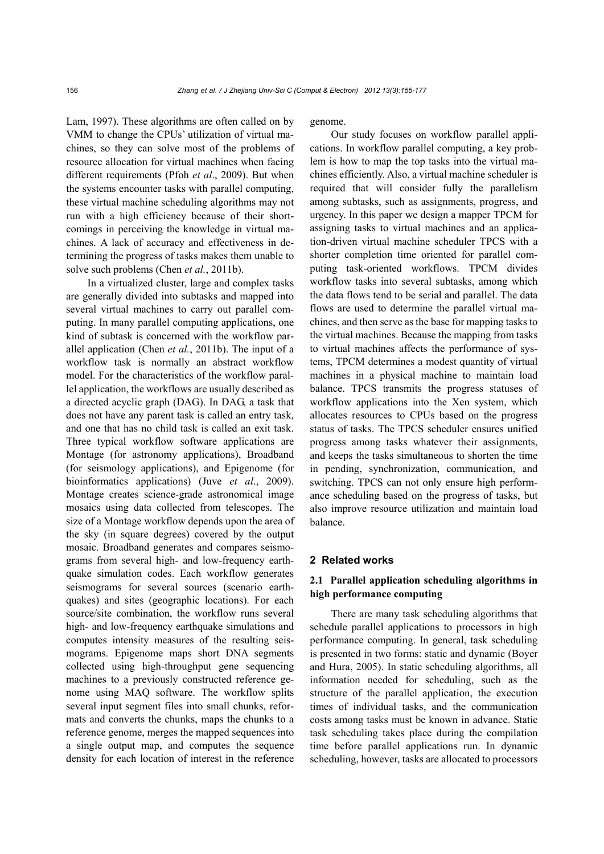Lam, 1997). These algorithms are often called on by VMM to change the CPUs' utilization of virtual machines, so they can solve most of the problems of resource allocation for virtual machines when facing different requirements (Pfoh *et al*., 2009). But when the systems encounter tasks with parallel computing, these virtual machine scheduling algorithms may not run with a high efficiency because of their shortcomings in perceiving the knowledge in virtual machines. A lack of accuracy and effectiveness in determining the progress of tasks makes them unable to solve such problems (Chen *et al.*, 2011b).

In a virtualized cluster, large and complex tasks are generally divided into subtasks and mapped into several virtual machines to carry out parallel computing. In many parallel computing applications, one kind of subtask is concerned with the workflow parallel application (Chen *et al.*, 2011b). The input of a workflow task is normally an abstract workflow model. For the characteristics of the workflow parallel application, the workflows are usually described as a directed acyclic graph (DAG). In DAG, a task that does not have any parent task is called an entry task, and one that has no child task is called an exit task. Three typical workflow software applications are Montage (for astronomy applications), Broadband (for seismology applications), and Epigenome (for bioinformatics applications) (Juve *et al*., 2009). Montage creates science-grade astronomical image mosaics using data collected from telescopes. The size of a Montage workflow depends upon the area of the sky (in square degrees) covered by the output mosaic. Broadband generates and compares seismograms from several high- and low-frequency earthquake simulation codes. Each workflow generates seismograms for several sources (scenario earthquakes) and sites (geographic locations). For each source/site combination, the workflow runs several high- and low-frequency earthquake simulations and computes intensity measures of the resulting seismograms. Epigenome maps short DNA segments collected using high-throughput gene sequencing machines to a previously constructed reference genome using MAQ software. The workflow splits several input segment files into small chunks, reformats and converts the chunks, maps the chunks to a reference genome, merges the mapped sequences into a single output map, and computes the sequence density for each location of interest in the reference genome.

Our study focuses on workflow parallel applications. In workflow parallel computing, a key problem is how to map the top tasks into the virtual machines efficiently. Also, a virtual machine scheduler is required that will consider fully the parallelism among subtasks, such as assignments, progress, and urgency. In this paper we design a mapper TPCM for assigning tasks to virtual machines and an application-driven virtual machine scheduler TPCS with a shorter completion time oriented for parallel computing task-oriented workflows. TPCM divides workflow tasks into several subtasks, among which the data flows tend to be serial and parallel. The data flows are used to determine the parallel virtual machines, and then serve as the base for mapping tasks to the virtual machines. Because the mapping from tasks to virtual machines affects the performance of systems, TPCM determines a modest quantity of virtual machines in a physical machine to maintain load balance. TPCS transmits the progress statuses of workflow applications into the Xen system, which allocates resources to CPUs based on the progress status of tasks. The TPCS scheduler ensures unified progress among tasks whatever their assignments, and keeps the tasks simultaneous to shorten the time in pending, synchronization, communication, and switching. TPCS can not only ensure high performance scheduling based on the progress of tasks, but also improve resource utilization and maintain load balance.

# **2 Related works**

# **2.1 Parallel application scheduling algorithms in high performance computing**

There are many task scheduling algorithms that schedule parallel applications to processors in high performance computing. In general, task scheduling is presented in two forms: static and dynamic (Boyer and Hura, 2005). In static scheduling algorithms, all information needed for scheduling, such as the structure of the parallel application, the execution times of individual tasks, and the communication costs among tasks must be known in advance. Static task scheduling takes place during the compilation time before parallel applications run. In dynamic scheduling, however, tasks are allocated to processors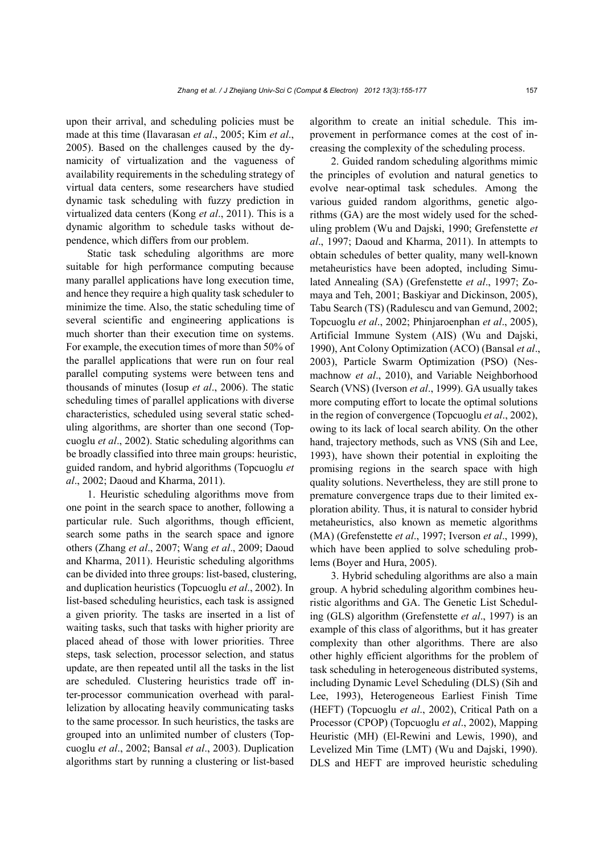upon their arrival, and scheduling policies must be made at this time (Ilavarasan *et al*., 2005; Kim *et al*., 2005). Based on the challenges caused by the dynamicity of virtualization and the vagueness of availability requirements in the scheduling strategy of virtual data centers, some researchers have studied dynamic task scheduling with fuzzy prediction in virtualized data centers (Kong *et al*., 2011). This is a dynamic algorithm to schedule tasks without dependence, which differs from our problem.

Static task scheduling algorithms are more suitable for high performance computing because many parallel applications have long execution time, and hence they require a high quality task scheduler to minimize the time. Also, the static scheduling time of several scientific and engineering applications is much shorter than their execution time on systems. For example, the execution times of more than 50% of the parallel applications that were run on four real parallel computing systems were between tens and thousands of minutes (Iosup *et al*., 2006). The static scheduling times of parallel applications with diverse characteristics, scheduled using several static scheduling algorithms, are shorter than one second (Topcuoglu *et al*., 2002). Static scheduling algorithms can be broadly classified into three main groups: heuristic, guided random, and hybrid algorithms (Topcuoglu *et al*., 2002; Daoud and Kharma, 2011).

1. Heuristic scheduling algorithms move from one point in the search space to another, following a particular rule. Such algorithms, though efficient, search some paths in the search space and ignore others (Zhang *et al*., 2007; Wang *et al*., 2009; Daoud and Kharma, 2011). Heuristic scheduling algorithms can be divided into three groups: list-based, clustering, and duplication heuristics (Topcuoglu *et al*., 2002). In list-based scheduling heuristics, each task is assigned a given priority. The tasks are inserted in a list of waiting tasks, such that tasks with higher priority are placed ahead of those with lower priorities. Three steps, task selection, processor selection, and status update, are then repeated until all the tasks in the list are scheduled. Clustering heuristics trade off inter-processor communication overhead with parallelization by allocating heavily communicating tasks to the same processor. In such heuristics, the tasks are grouped into an unlimited number of clusters (Topcuoglu *et al*., 2002; Bansal *et al*., 2003). Duplication algorithms start by running a clustering or list-based

algorithm to create an initial schedule. This improvement in performance comes at the cost of increasing the complexity of the scheduling process.

2. Guided random scheduling algorithms mimic the principles of evolution and natural genetics to evolve near-optimal task schedules. Among the various guided random algorithms, genetic algorithms (GA) are the most widely used for the scheduling problem (Wu and Dajski, 1990; Grefenstette *et al*., 1997; Daoud and Kharma, 2011). In attempts to obtain schedules of better quality, many well-known metaheuristics have been adopted, including Simulated Annealing (SA) (Grefenstette *et al*., 1997; Zomaya and Teh, 2001; Baskiyar and Dickinson, 2005), Tabu Search (TS) (Radulescu and van Gemund, 2002; Topcuoglu *et al*., 2002; Phinjaroenphan *et al*., 2005), Artificial Immune System (AIS) (Wu and Dajski, 1990), Ant Colony Optimization (ACO) (Bansal *et al*., 2003), Particle Swarm Optimization (PSO) (Nesmachnow *et al*., 2010), and Variable Neighborhood Search (VNS) (Iverson *et al*., 1999). GA usually takes more computing effort to locate the optimal solutions in the region of convergence (Topcuoglu *et al*., 2002), owing to its lack of local search ability. On the other hand, trajectory methods, such as VNS (Sih and Lee, 1993), have shown their potential in exploiting the promising regions in the search space with high quality solutions. Nevertheless, they are still prone to premature convergence traps due to their limited exploration ability. Thus, it is natural to consider hybrid metaheuristics, also known as memetic algorithms (MA) (Grefenstette *et al*., 1997; Iverson *et al*., 1999), which have been applied to solve scheduling problems (Boyer and Hura, 2005).

3. Hybrid scheduling algorithms are also a main group. A hybrid scheduling algorithm combines heuristic algorithms and GA. The Genetic List Scheduling (GLS) algorithm (Grefenstette *et al*., 1997) is an example of this class of algorithms, but it has greater complexity than other algorithms. There are also other highly efficient algorithms for the problem of task scheduling in heterogeneous distributed systems, including Dynamic Level Scheduling (DLS) (Sih and Lee, 1993), Heterogeneous Earliest Finish Time (HEFT) (Topcuoglu *et al*., 2002), Critical Path on a Processor (CPOP) (Topcuoglu *et al*., 2002), Mapping Heuristic (MH) (El-Rewini and Lewis, 1990), and Levelized Min Time (LMT) (Wu and Dajski, 1990). DLS and HEFT are improved heuristic scheduling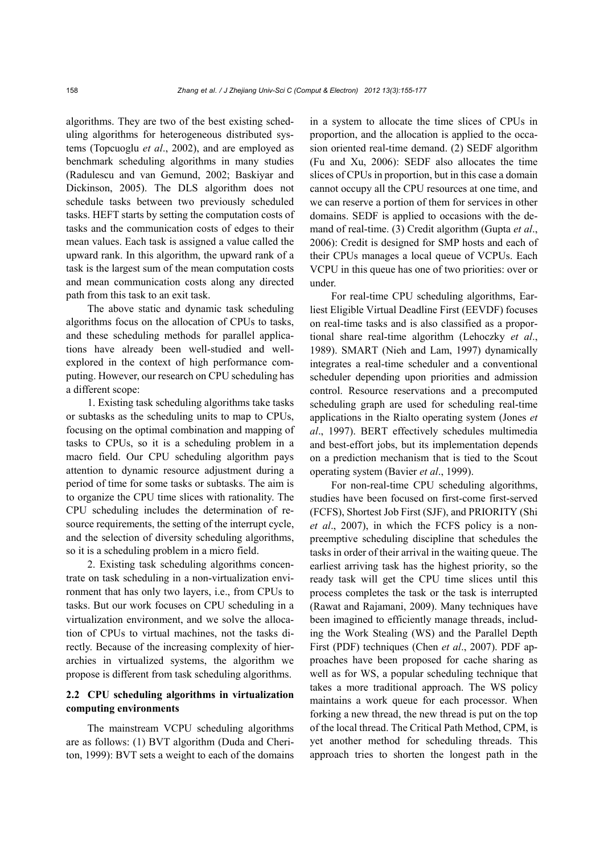algorithms. They are two of the best existing scheduling algorithms for heterogeneous distributed systems (Topcuoglu *et al*., 2002), and are employed as benchmark scheduling algorithms in many studies (Radulescu and van Gemund, 2002; Baskiyar and Dickinson, 2005). The DLS algorithm does not schedule tasks between two previously scheduled tasks. HEFT starts by setting the computation costs of tasks and the communication costs of edges to their mean values. Each task is assigned a value called the upward rank. In this algorithm, the upward rank of a task is the largest sum of the mean computation costs and mean communication costs along any directed path from this task to an exit task.

The above static and dynamic task scheduling algorithms focus on the allocation of CPUs to tasks, and these scheduling methods for parallel applications have already been well-studied and wellexplored in the context of high performance computing. However, our research on CPU scheduling has a different scope:

1. Existing task scheduling algorithms take tasks or subtasks as the scheduling units to map to CPUs, focusing on the optimal combination and mapping of tasks to CPUs, so it is a scheduling problem in a macro field. Our CPU scheduling algorithm pays attention to dynamic resource adjustment during a period of time for some tasks or subtasks. The aim is to organize the CPU time slices with rationality. The CPU scheduling includes the determination of resource requirements, the setting of the interrupt cycle, and the selection of diversity scheduling algorithms, so it is a scheduling problem in a micro field.

2. Existing task scheduling algorithms concentrate on task scheduling in a non-virtualization environment that has only two layers, i.e., from CPUs to tasks. But our work focuses on CPU scheduling in a virtualization environment, and we solve the allocation of CPUs to virtual machines, not the tasks directly. Because of the increasing complexity of hierarchies in virtualized systems, the algorithm we propose is different from task scheduling algorithms.

# **2.2 CPU scheduling algorithms in virtualization computing environments**

The mainstream VCPU scheduling algorithms are as follows: (1) BVT algorithm (Duda and Cheriton, 1999): BVT sets a weight to each of the domains in a system to allocate the time slices of CPUs in proportion, and the allocation is applied to the occasion oriented real-time demand. (2) SEDF algorithm (Fu and Xu, 2006): SEDF also allocates the time slices of CPUs in proportion, but in this case a domain cannot occupy all the CPU resources at one time, and we can reserve a portion of them for services in other domains. SEDF is applied to occasions with the demand of real-time. (3) Credit algorithm (Gupta *et al*., 2006): Credit is designed for SMP hosts and each of their CPUs manages a local queue of VCPUs. Each VCPU in this queue has one of two priorities: over or under.

For real-time CPU scheduling algorithms, Earliest Eligible Virtual Deadline First (EEVDF) focuses on real-time tasks and is also classified as a proportional share real-time algorithm (Lehoczky *et al*., 1989). SMART (Nieh and Lam, 1997) dynamically integrates a real-time scheduler and a conventional scheduler depending upon priorities and admission control. Resource reservations and a precomputed scheduling graph are used for scheduling real-time applications in the Rialto operating system (Jones *et al*., 1997). BERT effectively schedules multimedia and best-effort jobs, but its implementation depends on a prediction mechanism that is tied to the Scout operating system (Bavier *et al*., 1999).

For non-real-time CPU scheduling algorithms, studies have been focused on first-come first-served (FCFS), Shortest Job First (SJF), and PRIORITY (Shi *et al*., 2007), in which the FCFS policy is a nonpreemptive scheduling discipline that schedules the tasks in order of their arrival in the waiting queue. The earliest arriving task has the highest priority, so the ready task will get the CPU time slices until this process completes the task or the task is interrupted (Rawat and Rajamani, 2009). Many techniques have been imagined to efficiently manage threads, including the Work Stealing (WS) and the Parallel Depth First (PDF) techniques (Chen *et al*., 2007). PDF approaches have been proposed for cache sharing as well as for WS, a popular scheduling technique that takes a more traditional approach. The WS policy maintains a work queue for each processor. When forking a new thread, the new thread is put on the top of the local thread. The Critical Path Method, CPM, is yet another method for scheduling threads. This approach tries to shorten the longest path in the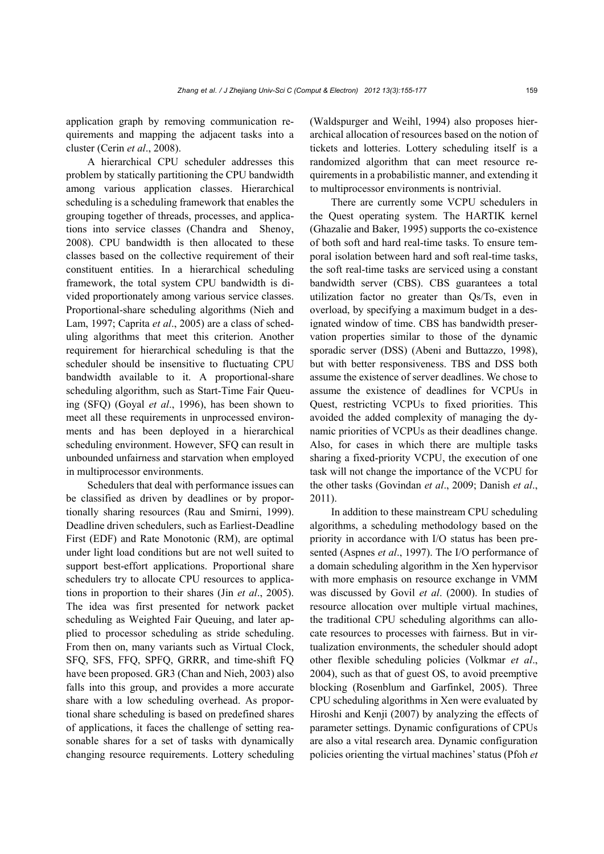application graph by removing communication requirements and mapping the adjacent tasks into a cluster (Cerin *et al*., 2008).

A hierarchical CPU scheduler addresses this problem by statically partitioning the CPU bandwidth among various application classes. Hierarchical scheduling is a scheduling framework that enables the grouping together of threads, processes, and applications into service classes (Chandra and Shenoy, 2008). CPU bandwidth is then allocated to these classes based on the collective requirement of their constituent entities. In a hierarchical scheduling framework, the total system CPU bandwidth is divided proportionately among various service classes. Proportional-share scheduling algorithms (Nieh and Lam, 1997; Caprita *et al*., 2005) are a class of scheduling algorithms that meet this criterion. Another requirement for hierarchical scheduling is that the scheduler should be insensitive to fluctuating CPU bandwidth available to it. A proportional-share scheduling algorithm, such as Start-Time Fair Queuing (SFQ) (Goyal *et al*., 1996), has been shown to meet all these requirements in unprocessed environments and has been deployed in a hierarchical scheduling environment. However, SFQ can result in unbounded unfairness and starvation when employed in multiprocessor environments.

Schedulers that deal with performance issues can be classified as driven by deadlines or by proportionally sharing resources (Rau and Smirni, 1999). Deadline driven schedulers, such as Earliest-Deadline First (EDF) and Rate Monotonic (RM), are optimal under light load conditions but are not well suited to support best-effort applications. Proportional share schedulers try to allocate CPU resources to applications in proportion to their shares (Jin *et al*., 2005). The idea was first presented for network packet scheduling as Weighted Fair Queuing, and later applied to processor scheduling as stride scheduling. From then on, many variants such as Virtual Clock, SFQ, SFS, FFQ, SPFQ, GRRR, and time-shift FQ have been proposed. GR3 (Chan and Nieh, 2003) also falls into this group, and provides a more accurate share with a low scheduling overhead. As proportional share scheduling is based on predefined shares of applications, it faces the challenge of setting reasonable shares for a set of tasks with dynamically changing resource requirements. Lottery scheduling (Waldspurger and Weihl, 1994) also proposes hierarchical allocation of resources based on the notion of tickets and lotteries. Lottery scheduling itself is a randomized algorithm that can meet resource requirements in a probabilistic manner, and extending it to multiprocessor environments is nontrivial.

There are currently some VCPU schedulers in the Quest operating system. The HARTIK kernel (Ghazalie and Baker, 1995) supports the co-existence of both soft and hard real-time tasks. To ensure temporal isolation between hard and soft real-time tasks, the soft real-time tasks are serviced using a constant bandwidth server (CBS). CBS guarantees a total utilization factor no greater than Qs/Ts, even in overload, by specifying a maximum budget in a designated window of time. CBS has bandwidth preservation properties similar to those of the dynamic sporadic server (DSS) (Abeni and Buttazzo, 1998), but with better responsiveness. TBS and DSS both assume the existence of server deadlines. We chose to assume the existence of deadlines for VCPUs in Quest, restricting VCPUs to fixed priorities. This avoided the added complexity of managing the dynamic priorities of VCPUs as their deadlines change. Also, for cases in which there are multiple tasks sharing a fixed-priority VCPU, the execution of one task will not change the importance of the VCPU for the other tasks (Govindan *et al*., 2009; Danish *et al*., 2011).

In addition to these mainstream CPU scheduling algorithms, a scheduling methodology based on the priority in accordance with I/O status has been presented (Aspnes *et al*., 1997). The I/O performance of a domain scheduling algorithm in the Xen hypervisor with more emphasis on resource exchange in VMM was discussed by Govil *et al*. (2000). In studies of resource allocation over multiple virtual machines, the traditional CPU scheduling algorithms can allocate resources to processes with fairness. But in virtualization environments, the scheduler should adopt other flexible scheduling policies (Volkmar *et al*., 2004), such as that of guest OS, to avoid preemptive blocking (Rosenblum and Garfinkel, 2005). Three CPU scheduling algorithms in Xen were evaluated by Hiroshi and Kenji (2007) by analyzing the effects of parameter settings. Dynamic configurations of CPUs are also a vital research area. Dynamic configuration policies orienting the virtual machines' status (Pfoh *et*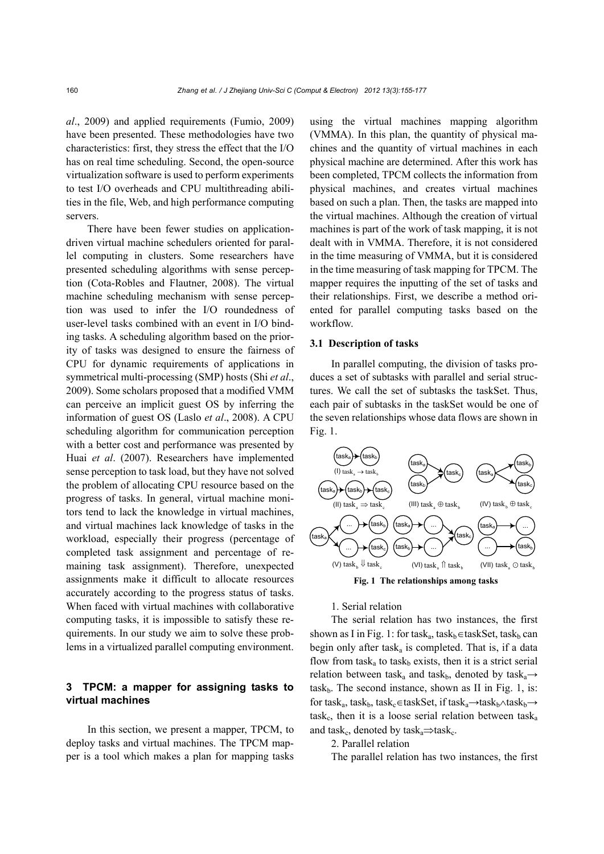*al*., 2009) and applied requirements (Fumio, 2009) have been presented. These methodologies have two characteristics: first, they stress the effect that the I/O has on real time scheduling. Second, the open-source virtualization software is used to perform experiments to test I/O overheads and CPU multithreading abilities in the file, Web, and high performance computing servers.

There have been fewer studies on applicationdriven virtual machine schedulers oriented for parallel computing in clusters. Some researchers have presented scheduling algorithms with sense perception (Cota-Robles and Flautner, 2008). The virtual machine scheduling mechanism with sense perception was used to infer the I/O roundedness of user-level tasks combined with an event in I/O binding tasks. A scheduling algorithm based on the priority of tasks was designed to ensure the fairness of CPU for dynamic requirements of applications in symmetrical multi-processing (SMP) hosts (Shi *et al*., 2009). Some scholars proposed that a modified VMM can perceive an implicit guest OS by inferring the information of guest OS (Laslo *et al*., 2008). A CPU scheduling algorithm for communication perception with a better cost and performance was presented by Huai *et al*. (2007). Researchers have implemented sense perception to task load, but they have not solved the problem of allocating CPU resource based on the progress of tasks. In general, virtual machine monitors tend to lack the knowledge in virtual machines, and virtual machines lack knowledge of tasks in the workload, especially their progress (percentage of completed task assignment and percentage of remaining task assignment). Therefore, unexpected assignments make it difficult to allocate resources accurately according to the progress status of tasks. When faced with virtual machines with collaborative computing tasks, it is impossible to satisfy these requirements. In our study we aim to solve these problems in a virtualized parallel computing environment.

# **3 TPCM: a mapper for assigning tasks to virtual machines**

In this section, we present a mapper, TPCM, to deploy tasks and virtual machines. The TPCM mapper is a tool which makes a plan for mapping tasks using the virtual machines mapping algorithm (VMMA). In this plan, the quantity of physical machines and the quantity of virtual machines in each physical machine are determined. After this work has been completed, TPCM collects the information from physical machines, and creates virtual machines based on such a plan. Then, the tasks are mapped into the virtual machines. Although the creation of virtual machines is part of the work of task mapping, it is not dealt with in VMMA. Therefore, it is not considered in the time measuring of VMMA, but it is considered in the time measuring of task mapping for TPCM. The mapper requires the inputting of the set of tasks and their relationships. First, we describe a method oriented for parallel computing tasks based on the workflow.

## **3.1 Description of tasks**

In parallel computing, the division of tasks produces a set of subtasks with parallel and serial structures. We call the set of subtasks the taskSet. Thus, each pair of subtasks in the taskSet would be one of the seven relationships whose data flows are shown in Fig. 1.



**Fig. 1 The relationships among tasks** 

## 1. Serial relation

The serial relation has two instances, the first shown as I in Fig. 1: for task<sub>a</sub>, task<sub>b</sub> $\in$ taskSet, task<sub>b</sub> can begin only after task<sub>a</sub> is completed. That is, if a data flow from task<sub>a</sub> to task<sub>b</sub> exists, then it is a strict serial relation between task<sub>a</sub> and task<sub>b</sub>, denoted by task<sub>a</sub>→  $task<sub>b</sub>$ . The second instance, shown as II in Fig. 1, is: for task<sub>a</sub>, task<sub>b</sub>, task<sub>c</sub>∈taskSet, if task<sub>a</sub>→task<sub>b</sub> $\land$ task<sub>b</sub>→ task<sub>c</sub>, then it is a loose serial relation between task<sub>a</sub> and task<sub>c</sub>, denoted by task<sub>a</sub> $\Rightarrow$ task<sub>c</sub>.

2. Parallel relation

The parallel relation has two instances, the first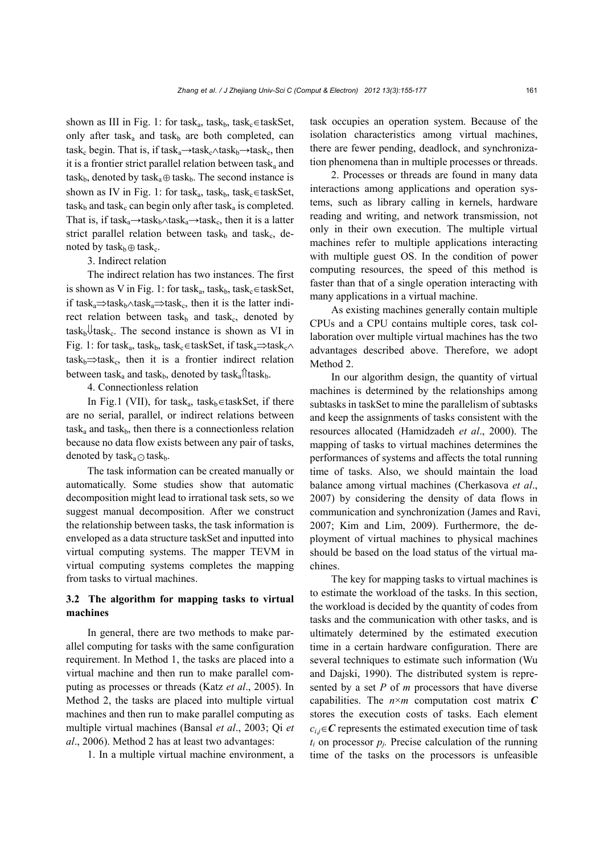shown as III in Fig. 1: for task<sub>a</sub>, task<sub>b</sub>, task<sub>c</sub>  $\in$  taskSet, only after task<sub>a</sub> and task<sub>b</sub> are both completed, can task<sub>c</sub> begin. That is, if task<sub>a</sub> $\rightarrow$ task<sub>c</sub> $\land$ task<sub>b</sub> $\rightarrow$ task<sub>c</sub>, then it is a frontier strict parallel relation between task<sub>a</sub> and task<sub>b</sub>, denoted by task<sub>a</sub> $\oplus$  task<sub>b</sub>. The second instance is shown as IV in Fig. 1: for task<sub>a</sub>, task<sub>b</sub>, task<sub>c</sub> $\in$ taskSet,  $task<sub>b</sub>$  and task<sub>c</sub> can begin only after task<sub>a</sub> is completed. That is, if task<sub>a</sub> $\rightarrow$ task<sub>b</sub> $\land$ task<sub>a</sub> $\rightarrow$ task<sub>c</sub>, then it is a latter strict parallel relation between task<sub>b</sub> and task<sub>c</sub>, denoted by task $_k \oplus$  task<sub>c</sub>.

# 3. Indirect relation

The indirect relation has two instances. The first is shown as V in Fig. 1: for task<sub>a</sub>, task<sub>b</sub>, task<sub>c</sub> $\in$ taskSet, if task<sub>a</sub> $\Rightarrow$ task<sub>b</sub> $\land$ task<sub>a</sub> $\Rightarrow$ task<sub>c</sub>, then it is the latter indirect relation between task $_b$  and task<sub>c</sub>, denoted by  $task_b \cup task_c$ . The second instance is shown as VI in Fig. 1: for task<sub>a</sub>, task<sub>b</sub>, task<sub>c</sub> $\in$ taskSet, if task<sub>a</sub> $\Rightarrow$ task<sub>c</sub> $\land$  $task_b \Rightarrow task_c$ , then it is a frontier indirect relation between task<sub>a</sub> and task<sub>b</sub>, denoted by task<sub>a</sub> $\int$  task<sub>b</sub>.

4. Connectionless relation

In Fig.1 (VII), for task<sub>a</sub>, task<sub>b</sub> $\in$ taskSet, if there are no serial, parallel, or indirect relations between task<sub>a</sub> and task<sub>b</sub>, then there is a connectionless relation because no data flow exists between any pair of tasks, denoted by task<sub>a</sub> $\odot$  task<sub>b</sub>.

The task information can be created manually or automatically. Some studies show that automatic decomposition might lead to irrational task sets, so we suggest manual decomposition. After we construct the relationship between tasks, the task information is enveloped as a data structure taskSet and inputted into virtual computing systems. The mapper TEVM in virtual computing systems completes the mapping from tasks to virtual machines.

# **3.2 The algorithm for mapping tasks to virtual machines**

In general, there are two methods to make parallel computing for tasks with the same configuration requirement. In Method 1, the tasks are placed into a virtual machine and then run to make parallel computing as processes or threads (Katz *et al*., 2005). In Method 2, the tasks are placed into multiple virtual machines and then run to make parallel computing as multiple virtual machines (Bansal *et al*., 2003; Qi *et al*., 2006). Method 2 has at least two advantages:

1. In a multiple virtual machine environment, a

task occupies an operation system. Because of the isolation characteristics among virtual machines, there are fewer pending, deadlock, and synchronization phenomena than in multiple processes or threads.

2. Processes or threads are found in many data interactions among applications and operation systems, such as library calling in kernels, hardware reading and writing, and network transmission, not only in their own execution. The multiple virtual machines refer to multiple applications interacting with multiple guest OS. In the condition of power computing resources, the speed of this method is faster than that of a single operation interacting with many applications in a virtual machine.

As existing machines generally contain multiple CPUs and a CPU contains multiple cores, task collaboration over multiple virtual machines has the two advantages described above. Therefore, we adopt Method 2.

In our algorithm design, the quantity of virtual machines is determined by the relationships among subtasks in taskSet to mine the parallelism of subtasks and keep the assignments of tasks consistent with the resources allocated (Hamidzadeh *et al*., 2000). The mapping of tasks to virtual machines determines the performances of systems and affects the total running time of tasks. Also, we should maintain the load balance among virtual machines (Cherkasova *et al*., 2007) by considering the density of data flows in communication and synchronization (James and Ravi, 2007; Kim and Lim, 2009). Furthermore, the deployment of virtual machines to physical machines should be based on the load status of the virtual machines.

The key for mapping tasks to virtual machines is to estimate the workload of the tasks. In this section, the workload is decided by the quantity of codes from tasks and the communication with other tasks, and is ultimately determined by the estimated execution time in a certain hardware configuration. There are several techniques to estimate such information (Wu and Dajski, 1990). The distributed system is represented by a set *P* of *m* processors that have diverse capabilities. The *n*×*m* computation cost matrix *C* stores the execution costs of tasks. Each element  $c_i$ <sup> $\in$ </sup>C represents the estimated execution time of task  $t_i$  on processor  $p_i$ . Precise calculation of the running time of the tasks on the processors is unfeasible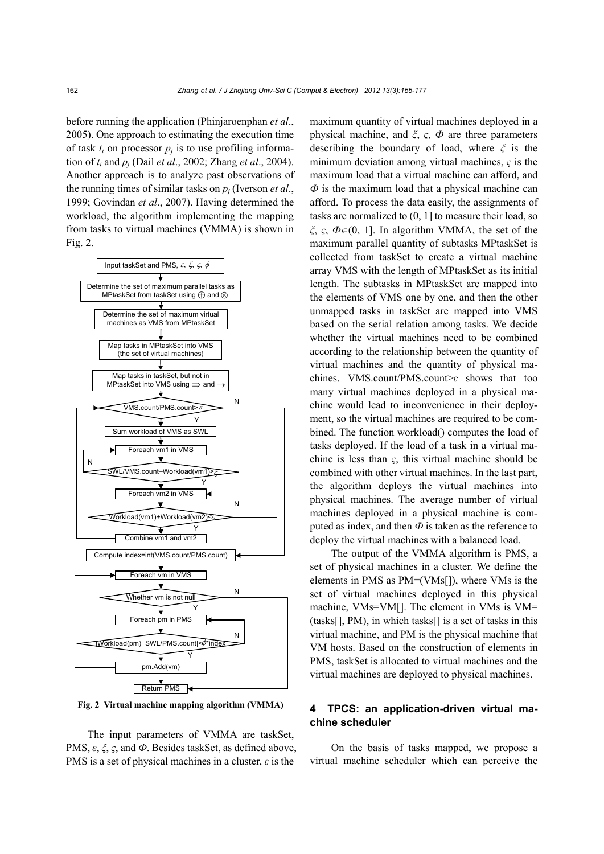before running the application (Phinjaroenphan *et al*., 2005). One approach to estimating the execution time of task  $t_i$  on processor  $p_i$  is to use profiling information of *ti* and *pj* (Dail *et al*., 2002; Zhang *et al*., 2004). Another approach is to analyze past observations of the running times of similar tasks on  $p_i$  (Iverson *et al.*, 1999; Govindan *et al*., 2007). Having determined the workload, the algorithm implementing the mapping from tasks to virtual machines (VMMA) is shown in Fig. 2.



**Fig. 2 Virtual machine mapping algorithm (VMMA)**

The input parameters of VMMA are taskSet, PMS, *ε*, *ξ*, *ς*, and *Ф*. Besides taskSet, as defined above, PMS is a set of physical machines in a cluster, *ε* is the

maximum quantity of virtual machines deployed in a physical machine, and *ξ*, *ς*, *Ф* are three parameters describing the boundary of load, where *ξ* is the minimum deviation among virtual machines, *ς* is the maximum load that a virtual machine can afford, and *Ф* is the maximum load that a physical machine can afford. To process the data easily, the assignments of tasks are normalized to (0, 1] to measure their load, so *ξ*, *ς*, *Φ*∈(0, 1]. In algorithm VMMA, the set of the maximum parallel quantity of subtasks MPtaskSet is collected from taskSet to create a virtual machine array VMS with the length of MPtaskSet as its initial length. The subtasks in MPtaskSet are mapped into the elements of VMS one by one, and then the other unmapped tasks in taskSet are mapped into VMS based on the serial relation among tasks. We decide whether the virtual machines need to be combined according to the relationship between the quantity of virtual machines and the quantity of physical machines. VMS.count/PMS.count>*ε* shows that too many virtual machines deployed in a physical machine would lead to inconvenience in their deployment, so the virtual machines are required to be combined. The function workload() computes the load of tasks deployed. If the load of a task in a virtual machine is less than *ς*, this virtual machine should be combined with other virtual machines. In the last part, the algorithm deploys the virtual machines into physical machines. The average number of virtual machines deployed in a physical machine is computed as index, and then  $\Phi$  is taken as the reference to deploy the virtual machines with a balanced load.

The output of the VMMA algorithm is PMS, a set of physical machines in a cluster. We define the elements in PMS as PM=(VMs[]), where VMs is the set of virtual machines deployed in this physical machine, VMs=VM[]. The element in VMs is VM= (tasks[], PM), in which tasks[] is a set of tasks in this virtual machine, and PM is the physical machine that VM hosts. Based on the construction of elements in PMS, taskSet is allocated to virtual machines and the virtual machines are deployed to physical machines.

# **4 TPCS: an application-driven virtual machine scheduler**

On the basis of tasks mapped, we propose a virtual machine scheduler which can perceive the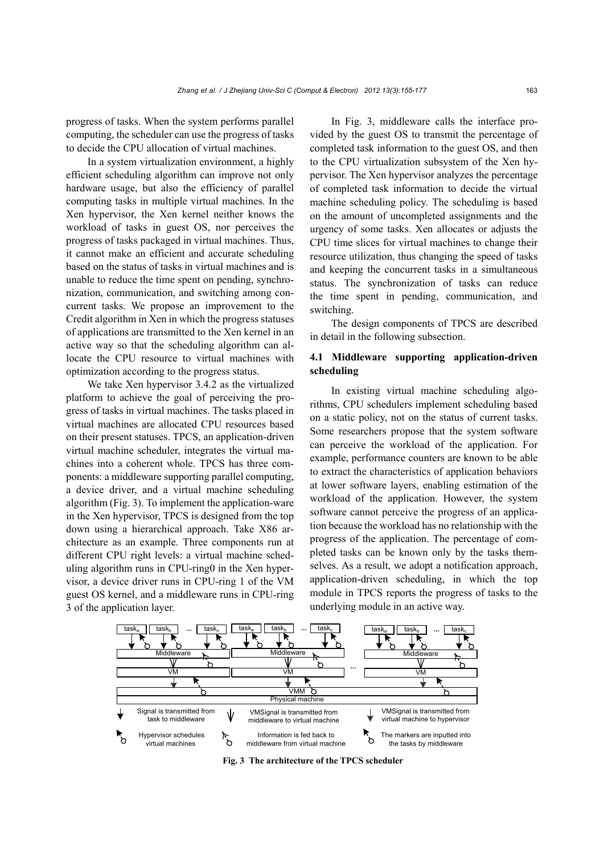progress of tasks. When the system performs parallel computing, the scheduler can use the progress of tasks to decide the CPU allocation of virtual machines.

In a system virtualization environment, a highly efficient scheduling algorithm can improve not only hardware usage, but also the efficiency of parallel computing tasks in multiple virtual machines. In the Xen hypervisor, the Xen kernel neither knows the workload of tasks in guest OS, nor perceives the progress of tasks packaged in virtual machines. Thus, it cannot make an efficient and accurate scheduling based on the status of tasks in virtual machines and is unable to reduce the time spent on pending, synchronization, communication, and switching among concurrent tasks. We propose an improvement to the Credit algorithm in Xen in which the progress statuses of applications are transmitted to the Xen kernel in an active way so that the scheduling algorithm can allocate the CPU resource to virtual machines with optimization according to the progress status.

We take Xen hypervisor 3.4.2 as the virtualized platform to achieve the goal of perceiving the progress of tasks in virtual machines. The tasks placed in virtual machines are allocated CPU resources based on their present statuses. TPCS, an application-driven virtual machine scheduler, integrates the virtual machines into a coherent whole. TPCS has three components: a middleware supporting parallel computing, a device driver, and a virtual machine scheduling algorithm (Fig. 3). To implement the application-ware in the Xen hypervisor, TPCS is designed from the top down using a hierarchical approach. Take X86 architecture as an example. Three components run at different CPU right levels: a virtual machine scheduling algorithm runs in CPU-ring0 in the Xen hypervisor, a device driver runs in CPU-ring 1 of the VM guest OS kernel, and a middleware runs in CPU-ring 3 of the application layer.

In Fig. 3, middleware calls the interface provided by the guest OS to transmit the percentage of completed task information to the guest OS, and then to the CPU virtualization subsystem of the Xen hypervisor. The Xen hypervisor analyzes the percentage of completed task information to decide the virtual machine scheduling policy. The scheduling is based on the amount of uncompleted assignments and the urgency of some tasks. Xen allocates or adjusts the CPU time slices for virtual machines to change their resource utilization, thus changing the speed of tasks and keeping the concurrent tasks in a simultaneous status. The synchronization of tasks can reduce the time spent in pending, communication, and switching.

The design components of TPCS are described in detail in the following subsection.

# **4.1 Middleware supporting application-driven scheduling**

In existing virtual machine scheduling algorithms, CPU schedulers implement scheduling based on a static policy, not on the status of current tasks. Some researchers propose that the system software can perceive the workload of the application. For example, performance counters are known to be able to extract the characteristics of application behaviors at lower software layers, enabling estimation of the workload of the application. However, the system software cannot perceive the progress of an application because the workload has no relationship with the progress of the application. The percentage of completed tasks can be known only by the tasks themselves. As a result, we adopt a notification approach, application-driven scheduling, in which the top module in TPCS reports the progress of tasks to the underlying module in an active way.



**Fig. 3 The architecture of the TPCS scheduler**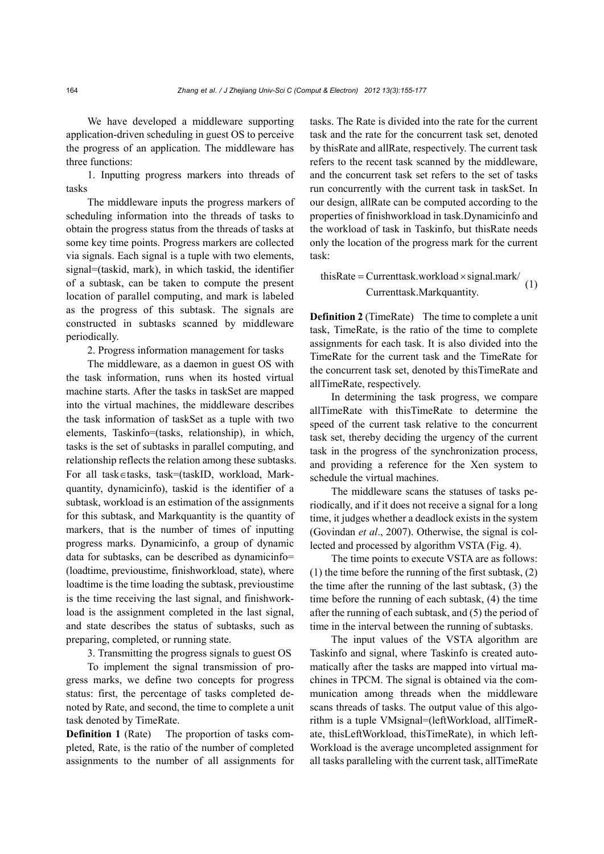We have developed a middleware supporting application-driven scheduling in guest OS to perceive the progress of an application. The middleware has three functions:

1. Inputting progress markers into threads of tasks

The middleware inputs the progress markers of scheduling information into the threads of tasks to obtain the progress status from the threads of tasks at some key time points. Progress markers are collected via signals. Each signal is a tuple with two elements, signal=(taskid, mark), in which taskid, the identifier of a subtask, can be taken to compute the present location of parallel computing, and mark is labeled as the progress of this subtask. The signals are constructed in subtasks scanned by middleware periodically.

2. Progress information management for tasks

The middleware, as a daemon in guest OS with the task information, runs when its hosted virtual machine starts. After the tasks in taskSet are mapped into the virtual machines, the middleware describes the task information of taskSet as a tuple with two elements, Taskinfo=(tasks, relationship), in which, tasks is the set of subtasks in parallel computing, and relationship reflects the relation among these subtasks. For all task $\in$ tasks, task=(taskID, workload, Markquantity, dynamicinfo), taskid is the identifier of a subtask, workload is an estimation of the assignments for this subtask, and Markquantity is the quantity of markers, that is the number of times of inputting progress marks. Dynamicinfo, a group of dynamic data for subtasks, can be described as dynamicinfo= (loadtime, previoustime, finishworkload, state), where loadtime is the time loading the subtask, previoustime is the time receiving the last signal, and finishworkload is the assignment completed in the last signal, and state describes the status of subtasks, such as preparing, completed, or running state.

3. Transmitting the progress signals to guest OS

To implement the signal transmission of progress marks, we define two concepts for progress status: first, the percentage of tasks completed denoted by Rate, and second, the time to complete a unit task denoted by TimeRate.

**Definition 1** (Rate) The proportion of tasks completed, Rate, is the ratio of the number of completed assignments to the number of all assignments for tasks. The Rate is divided into the rate for the current task and the rate for the concurrent task set, denoted by thisRate and allRate, respectively. The current task refers to the recent task scanned by the middleware, and the concurrent task set refers to the set of tasks run concurrently with the current task in taskSet. In our design, allRate can be computed according to the properties of finishworkload in task.Dynamicinfo and the workload of task in Taskinfo, but thisRate needs only the location of the progress mark for the current task:

thisRate = Currenttask.workload 
$$
\times
$$
 signal.mark/ Currenttask.Markquantity. (1)

**Definition 2** (TimeRate) The time to complete a unit task, TimeRate, is the ratio of the time to complete assignments for each task. It is also divided into the TimeRate for the current task and the TimeRate for the concurrent task set, denoted by thisTimeRate and allTimeRate, respectively.

In determining the task progress, we compare allTimeRate with thisTimeRate to determine the speed of the current task relative to the concurrent task set, thereby deciding the urgency of the current task in the progress of the synchronization process, and providing a reference for the Xen system to schedule the virtual machines.

The middleware scans the statuses of tasks periodically, and if it does not receive a signal for a long time, it judges whether a deadlock exists in the system (Govindan *et al*., 2007). Otherwise, the signal is collected and processed by algorithm VSTA (Fig. 4).

The time points to execute VSTA are as follows: (1) the time before the running of the first subtask, (2) the time after the running of the last subtask, (3) the time before the running of each subtask, (4) the time after the running of each subtask, and (5) the period of time in the interval between the running of subtasks.

The input values of the VSTA algorithm are Taskinfo and signal, where Taskinfo is created automatically after the tasks are mapped into virtual machines in TPCM. The signal is obtained via the communication among threads when the middleware scans threads of tasks. The output value of this algorithm is a tuple VMsignal=(leftWorkload, allTimeRate, thisLeftWorkload, thisTimeRate), in which left-Workload is the average uncompleted assignment for all tasks paralleling with the current task, allTimeRate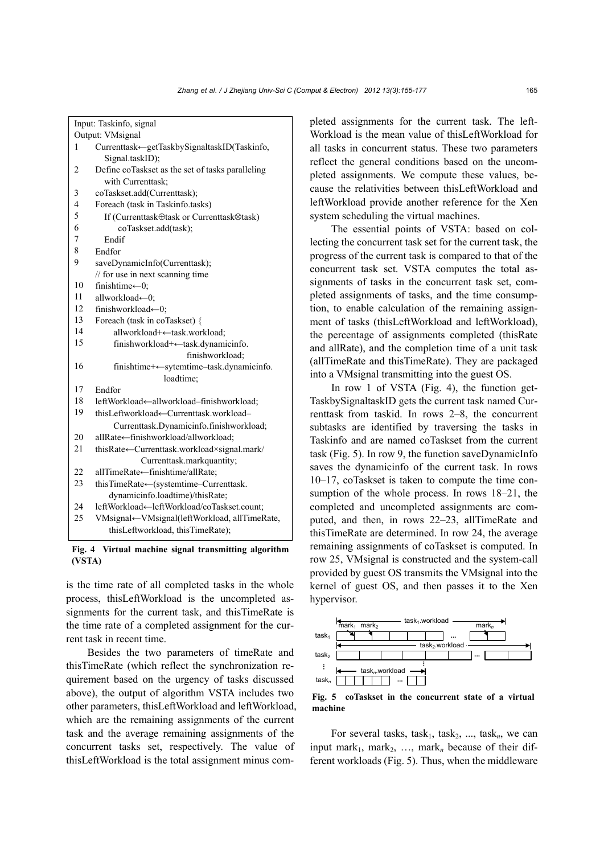| Input: Taskinfo, signal                                            |                                          |  |  |  |  |  |  |
|--------------------------------------------------------------------|------------------------------------------|--|--|--|--|--|--|
| Output: VMsignal                                                   |                                          |  |  |  |  |  |  |
| Currenttask-getTaskbySignaltaskID(Taskinfo,<br>1                   |                                          |  |  |  |  |  |  |
| Signal.taskID);                                                    |                                          |  |  |  |  |  |  |
| Define coTaskset as the set of tasks paralleling<br>$\overline{c}$ |                                          |  |  |  |  |  |  |
| with Currenttask;                                                  |                                          |  |  |  |  |  |  |
| coTaskset.add(Currenttask);                                        |                                          |  |  |  |  |  |  |
| Foreach (task in Taskinfo.tasks)                                   |                                          |  |  |  |  |  |  |
| 5<br>If (Currenttask⊕task or Currenttask⊗task)                     |                                          |  |  |  |  |  |  |
| 6<br>coTaskset.add(task);                                          |                                          |  |  |  |  |  |  |
| 7<br>Endif                                                         |                                          |  |  |  |  |  |  |
| 8<br>Endfor                                                        |                                          |  |  |  |  |  |  |
| 9<br>saveDynamicInfo(Currenttask);                                 |                                          |  |  |  |  |  |  |
| // for use in next scanning time                                   |                                          |  |  |  |  |  |  |
| 10<br>finishtime $\leftarrow 0$ ;                                  |                                          |  |  |  |  |  |  |
| 11<br>allworkload←0;                                               |                                          |  |  |  |  |  |  |
| 12<br>finishworkload $\leftarrow 0$ ;                              |                                          |  |  |  |  |  |  |
| 13<br>Foreach (task in coTaskset) {                                |                                          |  |  |  |  |  |  |
| 14<br>allworkload+←task.workload;                                  |                                          |  |  |  |  |  |  |
| 15<br>finishworkload+«task.dynamicinfo.                            |                                          |  |  |  |  |  |  |
| finishworkload;                                                    |                                          |  |  |  |  |  |  |
| 16<br>finishtime+←sytemtime-task.dynamicinfo.                      |                                          |  |  |  |  |  |  |
| loadtime;                                                          |                                          |  |  |  |  |  |  |
| 17<br>Endfor                                                       |                                          |  |  |  |  |  |  |
| 18                                                                 | leftWorkload-allworkload-finishworkload; |  |  |  |  |  |  |
| 19<br>thisLeftworkload—Currenttask.workload-                       |                                          |  |  |  |  |  |  |
| Currenttask.Dynamicinfo.finishworkload;                            |                                          |  |  |  |  |  |  |
| 20<br>allRate-finishworkload/allworkload;                          |                                          |  |  |  |  |  |  |
| 21<br>thisRate<-Currenttask.workload×signal.mark/                  |                                          |  |  |  |  |  |  |
| Currenttask.markquantity;                                          |                                          |  |  |  |  |  |  |
| 22<br>allTimeRate←finishtime/allRate;                              |                                          |  |  |  |  |  |  |
| 23<br>thisTimeRate<--(systemtime--Currenttask.                     |                                          |  |  |  |  |  |  |
| dynamicinfo.loadtime)/thisRate;                                    |                                          |  |  |  |  |  |  |
| leftWorkload<br>-leftWorkload/coTaskset.count;                     |                                          |  |  |  |  |  |  |
| 25<br>VMsignal←VMsignal(leftWorkload, allTimeRate,                 |                                          |  |  |  |  |  |  |
| thisLeftworkload, thisTimeRate);                                   |                                          |  |  |  |  |  |  |

**Fig. 4 Virtual machine signal transmitting algorithm (VSTA)** 

is the time rate of all completed tasks in the whole process, thisLeftWorkload is the uncompleted assignments for the current task, and thisTimeRate is the time rate of a completed assignment for the current task in recent time.

Besides the two parameters of timeRate and thisTimeRate (which reflect the synchronization requirement based on the urgency of tasks discussed above), the output of algorithm VSTA includes two other parameters, thisLeftWorkload and leftWorkload, which are the remaining assignments of the current task and the average remaining assignments of the concurrent tasks set, respectively. The value of thisLeftWorkload is the total assignment minus completed assignments for the current task. The left-Workload is the mean value of thisLeftWorkload for all tasks in concurrent status. These two parameters reflect the general conditions based on the uncompleted assignments. We compute these values, because the relativities between thisLeftWorkload and leftWorkload provide another reference for the Xen system scheduling the virtual machines.

The essential points of VSTA: based on collecting the concurrent task set for the current task, the progress of the current task is compared to that of the concurrent task set. VSTA computes the total assignments of tasks in the concurrent task set, completed assignments of tasks, and the time consumption, to enable calculation of the remaining assignment of tasks (thisLeftWorkload and leftWorkload), the percentage of assignments completed (thisRate and allRate), and the completion time of a unit task (allTimeRate and thisTimeRate). They are packaged into a VMsignal transmitting into the guest OS.

In row 1 of VSTA (Fig. 4), the function get-TaskbySignaltaskID gets the current task named Currenttask from taskid. In rows 2–8, the concurrent subtasks are identified by traversing the tasks in Taskinfo and are named coTaskset from the current task (Fig. 5). In row 9, the function saveDynamicInfo saves the dynamicinfo of the current task. In rows 10–17, coTaskset is taken to compute the time consumption of the whole process. In rows 18–21, the completed and uncompleted assignments are computed, and then, in rows 22–23, allTimeRate and thisTimeRate are determined. In row 24, the average remaining assignments of coTaskset is computed. In row 25, VMsignal is constructed and the system-call provided by guest OS transmits the VMsignal into the kernel of guest OS, and then passes it to the Xen hypervisor.



**Fig. 5 coTaskset in the concurrent state of a virtual machine** 

For several tasks, task<sub>1</sub>, task<sub>2</sub>, ..., task<sub>n</sub>, we can input mark<sub>1</sub>, mark<sub>2</sub>, ..., mark<sub>n</sub> because of their different workloads (Fig. 5). Thus, when the middleware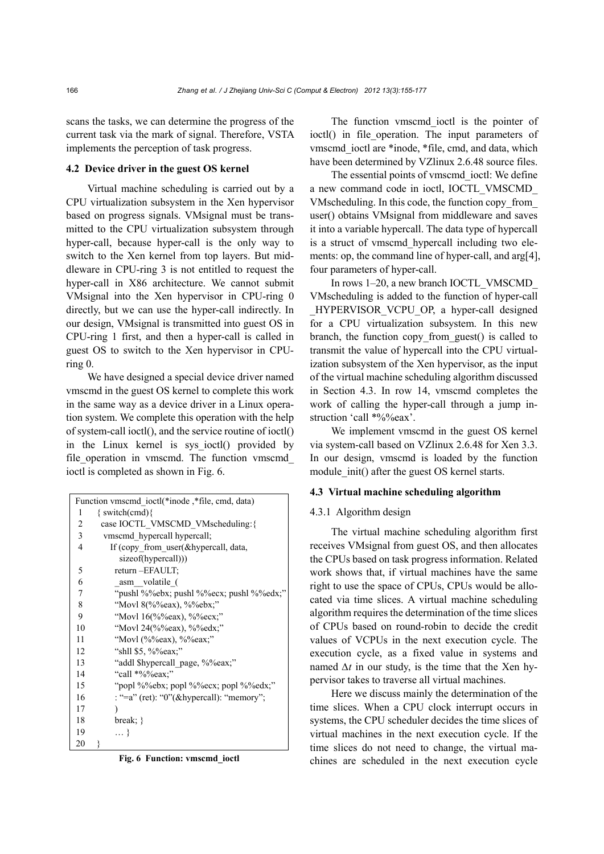scans the tasks, we can determine the progress of the current task via the mark of signal. Therefore, VSTA implements the perception of task progress.

# **4.2 Device driver in the guest OS kernel**

Virtual machine scheduling is carried out by a CPU virtualization subsystem in the Xen hypervisor based on progress signals. VMsignal must be transmitted to the CPU virtualization subsystem through hyper-call, because hyper-call is the only way to switch to the Xen kernel from top layers. But middleware in CPU-ring 3 is not entitled to request the hyper-call in X86 architecture. We cannot submit VMsignal into the Xen hypervisor in CPU-ring 0 directly, but we can use the hyper-call indirectly. In our design, VMsignal is transmitted into guest OS in CPU-ring 1 first, and then a hyper-call is called in guest OS to switch to the Xen hypervisor in CPUring 0.

We have designed a special device driver named vmscmd in the guest OS kernel to complete this work in the same way as a device driver in a Linux operation system. We complete this operation with the help of system-call ioctl(), and the service routine of ioctl() in the Linux kernel is sys\_ioctl() provided by file operation in vmscmd. The function vmscmd ioctl is completed as shown in Fig. 6.

| Function vmscmd ioctl(*inode,*file, cmd, data)         |
|--------------------------------------------------------|
| $\{ switch(cmd)\}$<br>1                                |
| 2<br>case IOCTL VMSCMD VMscheduling: {                 |
| 3<br>vmscmd hypercall hypercall;                       |
| $\overline{4}$<br>If (copy from user(&hypercall, data, |
| sizeof(hypercall)))                                    |
| 5<br>return - EFAULT;                                  |
| 6<br>asm volatile (                                    |
| "pushl %%ebx; pushl %%ecx; pushl %%edx;"<br>7          |
| 8<br>"Movl 8(%%eax), %%ebx;"                           |
| 9<br>"Movl 16(%%eax), %%ecx;"                          |
| "Movl 24(%%eax), %%edx;"<br>10                         |
| "Movl (%%eax), %%eax;"<br>11                           |
| "shll \$5, %%eax;"<br>12                               |
| 13<br>"addl \$hypercall page, %%eax;"                  |
| "call *%%eax;"<br>14                                   |
| "popl %%ebx; popl %%ecx; popl %%edx;"<br>15            |
| : "=a" (ret): "0"(&hypercall): "memory";<br>16         |
| 17                                                     |
| 18<br>break; $\}$                                      |
| 19<br>$\ldots$                                         |
| 20<br>₹                                                |

**Fig. 6 Function: vmscmd\_ioctl** 

The function vmscmd ioctl is the pointer of ioctl() in file\_operation. The input parameters of vmscmd ioctl are \*inode, \*file, cmd, and data, which have been determined by VZlinux 2.6.48 source files.

The essential points of vmscmd\_ioctl: We define a new command code in ioctl, IOCTL\_VMSCMD\_ VMscheduling. In this code, the function copy\_from\_ user() obtains VMsignal from middleware and saves it into a variable hypercall. The data type of hypercall is a struct of vmscmd\_hypercall including two elements: op, the command line of hyper-call, and arg[4], four parameters of hyper-call.

In rows 1–20, a new branch IOCTL\_VMSCMD\_ VMscheduling is added to the function of hyper-call \_HYPERVISOR\_VCPU\_OP, a hyper-call designed for a CPU virtualization subsystem. In this new branch, the function copy\_from\_guest() is called to transmit the value of hypercall into the CPU virtualization subsystem of the Xen hypervisor, as the input of the virtual machine scheduling algorithm discussed in Section 4.3. In row 14, vmscmd completes the work of calling the hyper-call through a jump instruction 'call \*%%eax'.

We implement vmscmd in the guest OS kernel via system-call based on VZlinux 2.6.48 for Xen 3.3. In our design, vmscmd is loaded by the function module init() after the guest OS kernel starts.

#### **4.3 Virtual machine scheduling algorithm**

## 4.3.1 Algorithm design

The virtual machine scheduling algorithm first receives VMsignal from guest OS, and then allocates the CPUs based on task progress information. Related work shows that, if virtual machines have the same right to use the space of CPUs, CPUs would be allocated via time slices. A virtual machine scheduling algorithm requires the determination of the time slices of CPUs based on round-robin to decide the credit values of VCPUs in the next execution cycle. The execution cycle, as a fixed value in systems and named  $\Delta t$  in our study, is the time that the Xen hypervisor takes to traverse all virtual machines.

Here we discuss mainly the determination of the time slices. When a CPU clock interrupt occurs in systems, the CPU scheduler decides the time slices of virtual machines in the next execution cycle. If the time slices do not need to change, the virtual machines are scheduled in the next execution cycle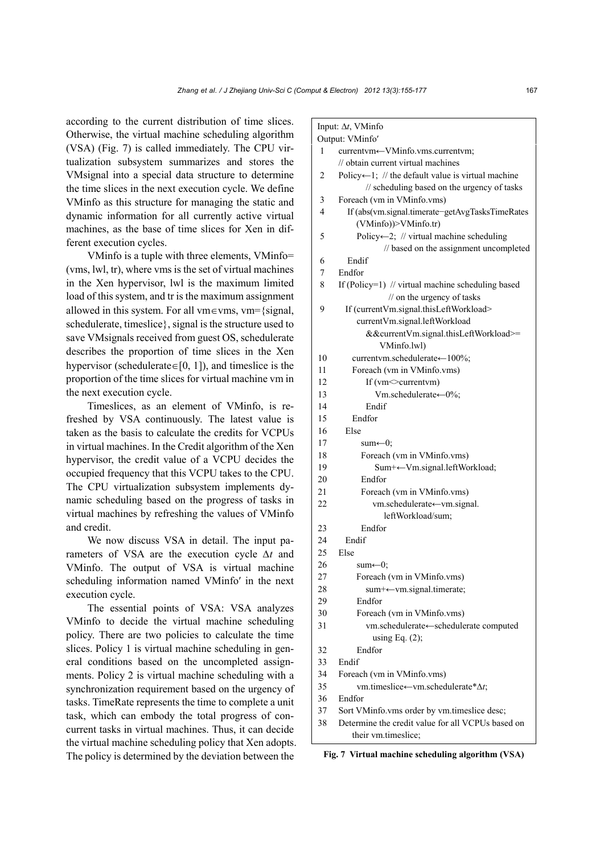according to the current distribution of time slices. Otherwise, the virtual machine scheduling algorithm (VSA) (Fig. 7) is called immediately. The CPU virtualization subsystem summarizes and stores the VMsignal into a special data structure to determine the time slices in the next execution cycle. We define VMinfo as this structure for managing the static and dynamic information for all currently active virtual machines, as the base of time slices for Xen in different execution cycles.

VMinfo is a tuple with three elements, VMinfo= (vms, lwl, tr), where vms is the set of virtual machines in the Xen hypervisor, lwl is the maximum limited load of this system, and tr is the maximum assignment allowed in this system. For all vm $\in$  vms, vm={signal, schedulerate, timeslice}, signal is the structure used to save VMsignals received from guest OS, schedulerate describes the proportion of time slices in the Xen hypervisor (schedulerate $\in [0, 1]$ ), and timeslice is the proportion of the time slices for virtual machine vm in the next execution cycle.

Timeslices, as an element of VMinfo, is refreshed by VSA continuously. The latest value is taken as the basis to calculate the credits for VCPUs in virtual machines. In the Credit algorithm of the Xen hypervisor, the credit value of a VCPU decides the occupied frequency that this VCPU takes to the CPU. The CPU virtualization subsystem implements dynamic scheduling based on the progress of tasks in virtual machines by refreshing the values of VMinfo and credit.

We now discuss VSA in detail. The input parameters of VSA are the execution cycle *∆t* and VMinfo. The output of VSA is virtual machine scheduling information named VMinfo′ in the next execution cycle.

The essential points of VSA: VSA analyzes VMinfo to decide the virtual machine scheduling policy. There are two policies to calculate the time slices. Policy 1 is virtual machine scheduling in general conditions based on the uncompleted assignments. Policy 2 is virtual machine scheduling with a synchronization requirement based on the urgency of tasks. TimeRate represents the time to complete a unit task, which can embody the total progress of concurrent tasks in virtual machines. Thus, it can decide the virtual machine scheduling policy that Xen adopts. The policy is determined by the deviation between the

| Input: $\Delta t$ , VMinfo |                                                                       |  |  |  |  |  |  |
|----------------------------|-----------------------------------------------------------------------|--|--|--|--|--|--|
| Output: VMinfo'            |                                                                       |  |  |  |  |  |  |
| 1                          | currentvm←VMinfo.vms.currentvm;<br>// obtain current virtual machines |  |  |  |  |  |  |
| 2                          | Policy $\leftarrow$ 1; // the default value is virtual machine        |  |  |  |  |  |  |
|                            | // scheduling based on the urgency of tasks                           |  |  |  |  |  |  |
| 3                          | Foreach (vm in VMinfo.vms)                                            |  |  |  |  |  |  |
| 4                          | If (abs(vm.signal.timerate-getAvgTasksTimeRates                       |  |  |  |  |  |  |
|                            | (VMinfo))>VMinfo.tr)                                                  |  |  |  |  |  |  |
| 5                          | Policy $\leftarrow$ 2; // virtual machine scheduling                  |  |  |  |  |  |  |
|                            | // based on the assignment uncompleted                                |  |  |  |  |  |  |
| 6                          | Endif                                                                 |  |  |  |  |  |  |
| 7                          | Endfor                                                                |  |  |  |  |  |  |
| 8                          | If (Policy=1) // virtual machine scheduling based                     |  |  |  |  |  |  |
|                            | // on the urgency of tasks                                            |  |  |  |  |  |  |
| 9                          | If (currentVm.signal.thisLeftWorkload>                                |  |  |  |  |  |  |
|                            | currentVm.signal.leftWorkload                                         |  |  |  |  |  |  |
|                            | &&currentVm.signal.thisLeftWorkload>=                                 |  |  |  |  |  |  |
|                            | VMinfo.lwl)                                                           |  |  |  |  |  |  |
| 10                         | currentvm.schedulerate←100%;                                          |  |  |  |  |  |  |
| 11                         | Foreach (vm in VMinfo.vms)                                            |  |  |  |  |  |  |
| 12                         | If $(vm\infty$ currentvm)                                             |  |  |  |  |  |  |
| 13                         | Vm.schedulerate $\leftarrow$ 0%;                                      |  |  |  |  |  |  |
| 14                         | Endif                                                                 |  |  |  |  |  |  |
| 15                         | Endfor                                                                |  |  |  |  |  |  |
| 16                         | Else                                                                  |  |  |  |  |  |  |
| 17                         | sum $\leftarrow 0$ :                                                  |  |  |  |  |  |  |
| 18                         | Foreach (vm in VMinfo.vms)                                            |  |  |  |  |  |  |
| 19                         | Sum+←Vm.signal.leftWorkload;                                          |  |  |  |  |  |  |
| 20                         | Endfor                                                                |  |  |  |  |  |  |
| 21                         | Foreach (vm in VMinfo.vms)                                            |  |  |  |  |  |  |
| 22                         | vm.schedulerate-vm.signal.                                            |  |  |  |  |  |  |
|                            | leftWorkload/sum;                                                     |  |  |  |  |  |  |
| 23                         | Endfor                                                                |  |  |  |  |  |  |
| 24                         | Endif                                                                 |  |  |  |  |  |  |
| 25                         | Else                                                                  |  |  |  |  |  |  |
| 26                         | sum $\leftarrow 0$ ;                                                  |  |  |  |  |  |  |
| 27                         | Foreach (vm in VMinfo.vms)                                            |  |  |  |  |  |  |
| 28                         | sum+ ← vm.signal.timerate;                                            |  |  |  |  |  |  |
| 29                         | Endfor                                                                |  |  |  |  |  |  |
| 30                         | Foreach (vm in VMinfo.vms)                                            |  |  |  |  |  |  |
| 31                         | vm.schedulerate<br>-schedulerate computed                             |  |  |  |  |  |  |
|                            | using Eq. $(2)$ ;                                                     |  |  |  |  |  |  |
| 32                         | Endfor                                                                |  |  |  |  |  |  |
| 33                         | Endif                                                                 |  |  |  |  |  |  |
| 34                         | Foreach (vm in VMinfo.vms)                                            |  |  |  |  |  |  |
| 35                         | vm.timeslice←vm.schedulerate*∆t;                                      |  |  |  |  |  |  |
| 36                         | Endfor                                                                |  |  |  |  |  |  |
| 37                         | Sort VMinfo.vms order by vm.timeslice desc;                           |  |  |  |  |  |  |
| 38                         | Determine the credit value for all VCPUs based on                     |  |  |  |  |  |  |
|                            | their vm.timeslice:                                                   |  |  |  |  |  |  |

**Fig. 7 Virtual machine scheduling algorithm (VSA)**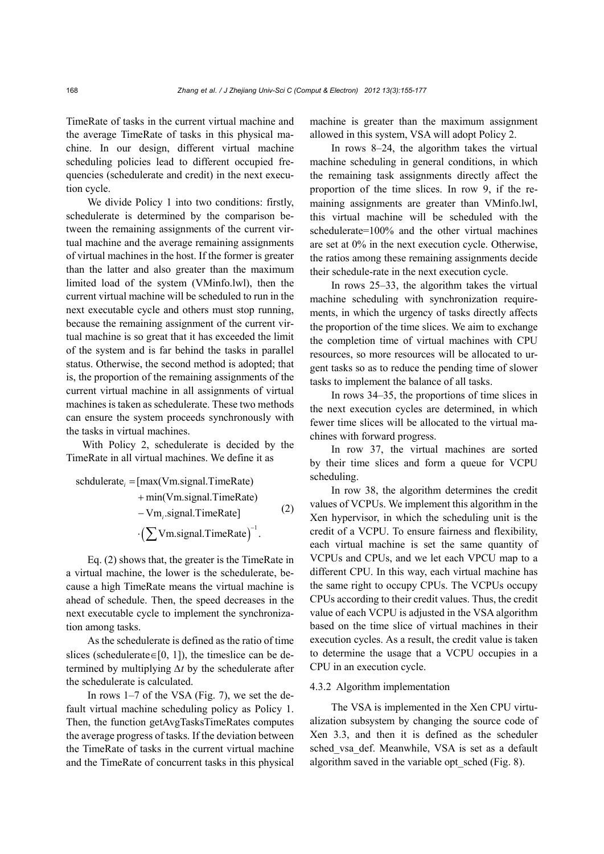TimeRate of tasks in the current virtual machine and the average TimeRate of tasks in this physical machine. In our design, different virtual machine scheduling policies lead to different occupied frequencies (schedulerate and credit) in the next execution cycle.

We divide Policy 1 into two conditions: firstly, schedulerate is determined by the comparison between the remaining assignments of the current virtual machine and the average remaining assignments of virtual machines in the host. If the former is greater than the latter and also greater than the maximum limited load of the system (VMinfo.lwl), then the current virtual machine will be scheduled to run in the next executable cycle and others must stop running, because the remaining assignment of the current virtual machine is so great that it has exceeded the limit of the system and is far behind the tasks in parallel status. Otherwise, the second method is adopted; that is, the proportion of the remaining assignments of the current virtual machine in all assignments of virtual machines is taken as schedulerate. These two methods can ensure the system proceeds synchronously with the tasks in virtual machines.

With Policy 2, schedulerate is decided by the TimeRate in all virtual machines. We define it as

schdulerate<sub>i</sub> = [max(Vm.signal.TimeRate)  
\n
$$
+ min(Vm.signal.TimeRate)\n
$$
- Vm_i.signal.TimeRate]
$$
\n(2)

\n
$$
\cdot \left( \sum Vm.signal.TimeRate \right)^{-1}.
$$
$$

Eq. (2) shows that, the greater is the TimeRate in a virtual machine, the lower is the schedulerate, because a high TimeRate means the virtual machine is ahead of schedule. Then, the speed decreases in the next executable cycle to implement the synchronization among tasks.

As the schedulerate is defined as the ratio of time slices (schedulerate  $\in$  [0, 1]), the timeslice can be determined by multiplying *∆t* by the schedulerate after the schedulerate is calculated.

In rows 1–7 of the VSA (Fig. 7), we set the default virtual machine scheduling policy as Policy 1. Then, the function getAvgTasksTimeRates computes the average progress of tasks. If the deviation between the TimeRate of tasks in the current virtual machine and the TimeRate of concurrent tasks in this physical

machine is greater than the maximum assignment allowed in this system, VSA will adopt Policy 2.

In rows 8–24, the algorithm takes the virtual machine scheduling in general conditions, in which the remaining task assignments directly affect the proportion of the time slices. In row 9, if the remaining assignments are greater than VMinfo.lwl, this virtual machine will be scheduled with the schedulerate=100% and the other virtual machines are set at 0% in the next execution cycle. Otherwise, the ratios among these remaining assignments decide their schedule-rate in the next execution cycle.

In rows 25–33, the algorithm takes the virtual machine scheduling with synchronization requirements, in which the urgency of tasks directly affects the proportion of the time slices. We aim to exchange the completion time of virtual machines with CPU resources, so more resources will be allocated to urgent tasks so as to reduce the pending time of slower tasks to implement the balance of all tasks.

In rows 34–35, the proportions of time slices in the next execution cycles are determined, in which fewer time slices will be allocated to the virtual machines with forward progress.

In row 37, the virtual machines are sorted by their time slices and form a queue for VCPU scheduling.

In row 38, the algorithm determines the credit values of VCPUs. We implement this algorithm in the Xen hypervisor, in which the scheduling unit is the credit of a VCPU. To ensure fairness and flexibility, each virtual machine is set the same quantity of VCPUs and CPUs, and we let each VPCU map to a different CPU. In this way, each virtual machine has the same right to occupy CPUs. The VCPUs occupy CPUs according to their credit values. Thus, the credit value of each VCPU is adjusted in the VSA algorithm based on the time slice of virtual machines in their execution cycles. As a result, the credit value is taken to determine the usage that a VCPU occupies in a CPU in an execution cycle.

### 4.3.2 Algorithm implementation

The VSA is implemented in the Xen CPU virtualization subsystem by changing the source code of Xen 3.3, and then it is defined as the scheduler sched\_vsa\_def. Meanwhile, VSA is set as a default algorithm saved in the variable opt\_sched (Fig. 8).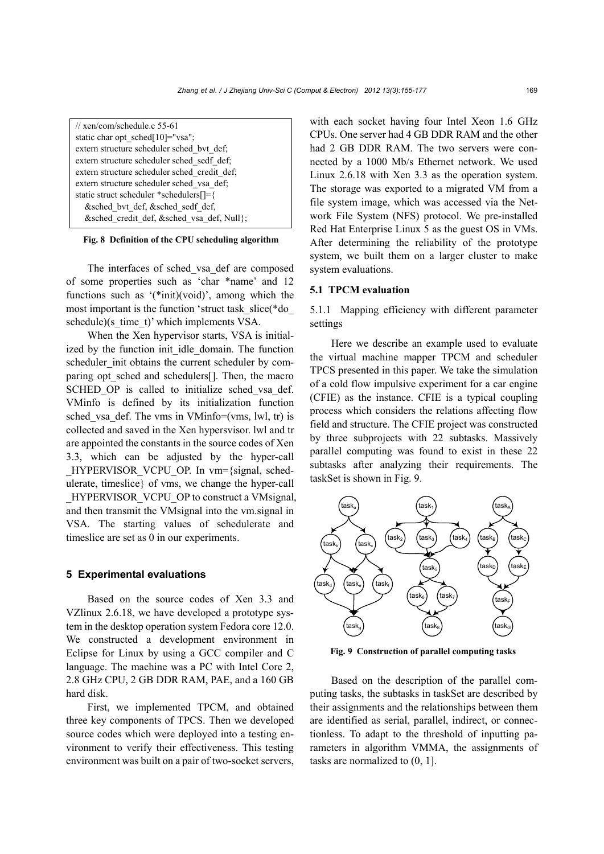// xen/com/schedule.c 55-61 static char opt\_sched[10]="vsa"; extern structure scheduler sched\_bvt\_def; extern structure scheduler sched\_sedf\_def; extern structure scheduler sched\_credit\_def; extern structure scheduler sched\_vsa\_def; static struct scheduler \*schedulers[]={ &sched\_bvt\_def, &sched\_sedf\_def, &sched\_credit\_def, &sched\_vsa\_def, Null};

**Fig. 8 Definition of the CPU scheduling algorithm** 

The interfaces of sched\_vsa\_def are composed of some properties such as 'char \*name' and 12 functions such as  $'(*init)(void)'$ , among which the most important is the function 'struct task\_slice(\*do\_ schedule)(s\_time\_t)' which implements VSA.

When the Xen hypervisor starts, VSA is initialized by the function init idle domain. The function scheduler init obtains the current scheduler by comparing opt sched and schedulers[]. Then, the macro SCHED OP is called to initialize sched vsa def. VMinfo is defined by its initialization function sched vsa def. The vms in VMinfo=(vms, lwl, tr) is collected and saved in the Xen hypersvisor. lwl and tr are appointed the constants in the source codes of Xen 3.3, which can be adjusted by the hyper-call \_HYPERVISOR\_VCPU\_OP. In vm={signal, schedulerate, timeslice} of vms, we change the hyper-call \_HYPERVISOR\_VCPU\_OP to construct a VMsignal, and then transmit the VMsignal into the vm.signal in VSA. The starting values of schedulerate and timeslice are set as 0 in our experiments.

# **5 Experimental evaluations**

Based on the source codes of Xen 3.3 and VZlinux 2.6.18, we have developed a prototype system in the desktop operation system Fedora core 12.0. We constructed a development environment in Eclipse for Linux by using a GCC compiler and C language. The machine was a PC with Intel Core 2, 2.8 GHz CPU, 2 GB DDR RAM, PAE, and a 160 GB hard disk.

First, we implemented TPCM, and obtained three key components of TPCS. Then we developed source codes which were deployed into a testing environment to verify their effectiveness. This testing environment was built on a pair of two-socket servers,

with each socket having four Intel Xeon 1.6 GHz CPUs. One server had 4 GB DDR RAM and the other had 2 GB DDR RAM. The two servers were connected by a 1000 Mb/s Ethernet network. We used Linux 2.6.18 with Xen 3.3 as the operation system. The storage was exported to a migrated VM from a file system image, which was accessed via the Network File System (NFS) protocol. We pre-installed Red Hat Enterprise Linux 5 as the guest OS in VMs. After determining the reliability of the prototype system, we built them on a larger cluster to make system evaluations.

## **5.1 TPCM evaluation**

5.1.1 Mapping efficiency with different parameter settings

Here we describe an example used to evaluate the virtual machine mapper TPCM and scheduler TPCS presented in this paper. We take the simulation of a cold flow impulsive experiment for a car engine (CFIE) as the instance. CFIE is a typical coupling process which considers the relations affecting flow field and structure. The CFIE project was constructed by three subprojects with 22 subtasks. Massively parallel computing was found to exist in these 22 subtasks after analyzing their requirements. The taskSet is shown in Fig. 9.



**Fig. 9 Construction of parallel computing tasks** 

Based on the description of the parallel computing tasks, the subtasks in taskSet are described by their assignments and the relationships between them are identified as serial, parallel, indirect, or connectionless. To adapt to the threshold of inputting parameters in algorithm VMMA, the assignments of tasks are normalized to (0, 1].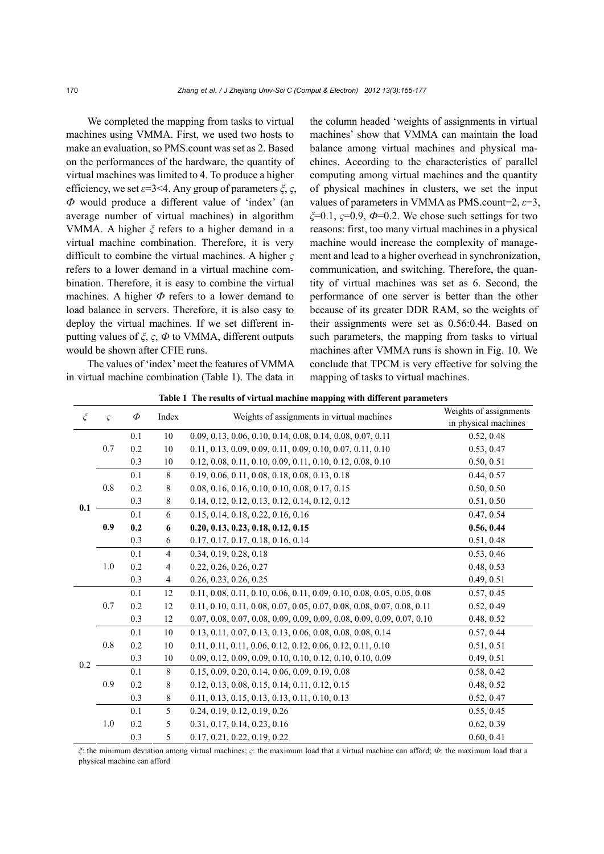We completed the mapping from tasks to virtual machines using VMMA. First, we used two hosts to make an evaluation, so PMS.count was set as 2. Based on the performances of the hardware, the quantity of virtual machines was limited to 4. To produce a higher efficiency, we set *ε*=3<4. Any group of parameters *ξ*, *ς*, *Ф* would produce a different value of 'index' (an average number of virtual machines) in algorithm VMMA. A higher *ξ* refers to a higher demand in a virtual machine combination. Therefore, it is very difficult to combine the virtual machines. A higher *ς* refers to a lower demand in a virtual machine combination. Therefore, it is easy to combine the virtual machines. A higher *Ф* refers to a lower demand to load balance in servers. Therefore, it is also easy to deploy the virtual machines. If we set different inputting values of *ξ*, *ς*, *Ф* to VMMA, different outputs would be shown after CFIE runs.

The values of 'index' meet the features of VMMA in virtual machine combination (Table 1). The data in

the column headed 'weights of assignments in virtual machines' show that VMMA can maintain the load balance among virtual machines and physical machines. According to the characteristics of parallel computing among virtual machines and the quantity of physical machines in clusters, we set the input values of parameters in VMMA as PMS.count=2, *ε*=3, *ξ*=0.1, *ς*=0.9, *Ф*=0.2. We chose such settings for two reasons: first, too many virtual machines in a physical machine would increase the complexity of management and lead to a higher overhead in synchronization, communication, and switching. Therefore, the quantity of virtual machines was set as 6. Second, the performance of one server is better than the other because of its greater DDR RAM, so the weights of their assignments were set as 0.56:0.44. Based on such parameters, the mapping from tasks to virtual machines after VMMA runs is shown in Fig. 10. We conclude that TPCM is very effective for solving the mapping of tasks to virtual machines.

| $\boldsymbol{\xi}$ | $\varsigma$ | Ф   | Index          | Weights of assignments in virtual machines                             | Weights of assignments<br>in physical machines |
|--------------------|-------------|-----|----------------|------------------------------------------------------------------------|------------------------------------------------|
| 0.1                |             | 0.1 | $10\,$         | 0.09, 0.13, 0.06, 0.10, 0.14, 0.08, 0.14, 0.08, 0.07, 0.11             | 0.52, 0.48                                     |
|                    | 0.7         | 0.2 | 10             | 0.11, 0.13, 0.09, 0.09, 0.11, 0.09, 0.10, 0.07, 0.11, 0.10             | 0.53, 0.47                                     |
|                    |             | 0.3 | 10             | 0.12, 0.08, 0.11, 0.10, 0.09, 0.11, 0.10, 0.12, 0.08, 0.10             | 0.50, 0.51                                     |
|                    |             | 0.1 | 8              | 0.19, 0.06, 0.11, 0.08, 0.18, 0.08, 0.13, 0.18                         | 0.44, 0.57                                     |
|                    | $0.8\,$     | 0.2 | 8              | 0.08, 0.16, 0.16, 0.10, 0.10, 0.08, 0.17, 0.15                         | 0.50, 0.50                                     |
|                    |             | 0.3 | 8              | 0.14, 0.12, 0.12, 0.13, 0.12, 0.14, 0.12, 0.12                         | 0.51, 0.50                                     |
|                    |             | 0.1 | 6              | 0.15, 0.14, 0.18, 0.22, 0.16, 0.16                                     | 0.47, 0.54                                     |
|                    | 0.9         | 0.2 | 6              | 0.20, 0.13, 0.23, 0.18, 0.12, 0.15                                     | 0.56, 0.44                                     |
|                    |             | 0.3 | 6              | 0.17, 0.17, 0.17, 0.18, 0.16, 0.14                                     | 0.51, 0.48                                     |
|                    |             | 0.1 | $\overline{4}$ | 0.34, 0.19, 0.28, 0.18                                                 | 0.53, 0.46                                     |
|                    | $1.0\,$     | 0.2 | $\overline{4}$ | 0.22, 0.26, 0.26, 0.27                                                 | 0.48, 0.53                                     |
|                    |             | 0.3 | $\overline{4}$ | 0.26, 0.23, 0.26, 0.25                                                 | 0.49, 0.51                                     |
|                    |             | 0.1 | 12             | 0.11, 0.08, 0.11, 0.10, 0.06, 0.11, 0.09, 0.10, 0.08, 0.05, 0.05, 0.08 | 0.57, 0.45                                     |
|                    | 0.7         | 0.2 | 12             | 0.11, 0.10, 0.11, 0.08, 0.07, 0.05, 0.07, 0.08, 0.08, 0.07, 0.08, 0.11 | 0.52, 0.49                                     |
|                    |             | 0.3 | 12             | 0.07, 0.08, 0.07, 0.08, 0.09, 0.09, 0.09, 0.08, 0.09, 0.09, 0.07, 0.10 | 0.48, 0.52                                     |
|                    |             | 0.1 | 10             | 0.13, 0.11, 0.07, 0.13, 0.13, 0.06, 0.08, 0.08, 0.08, 0.14             | 0.57, 0.44                                     |
|                    | 0.8         | 0.2 | 10             | 0.11, 0.11, 0.11, 0.06, 0.12, 0.12, 0.06, 0.12, 0.11, 0.10             | 0.51, 0.51                                     |
|                    |             | 0.3 | 10             | 0.09, 0.12, 0.09, 0.09, 0.10, 0.10, 0.12, 0.10, 0.10, 0.09             | 0.49, 0.51                                     |
| 0.2                |             | 0.1 | 8              | 0.15, 0.09, 0.20, 0.14, 0.06, 0.09, 0.19, 0.08                         | 0.58, 0.42                                     |
|                    | 0.9         | 0.2 | 8              | 0.12, 0.13, 0.08, 0.15, 0.14, 0.11, 0.12, 0.15                         | 0.48, 0.52                                     |
|                    |             | 0.3 | 8              | 0.11, 0.13, 0.15, 0.13, 0.13, 0.11, 0.10, 0.13                         | 0.52, 0.47                                     |
|                    |             | 0.1 | 5              | 0.24, 0.19, 0.12, 0.19, 0.26                                           | 0.55, 0.45                                     |
|                    | $1.0\,$     | 0.2 | 5              | 0.31, 0.17, 0.14, 0.23, 0.16                                           | 0.62, 0.39                                     |
|                    |             | 0.3 | 5              | 0.17, 0.21, 0.22, 0.19, 0.22                                           | 0.60, 0.41                                     |

**Table 1 The results of virtual machine mapping with different parameters** 

*ξ*: the minimum deviation among virtual machines; *ς*: the maximum load that a virtual machine can afford; *Ф*: the maximum load that a physical machine can afford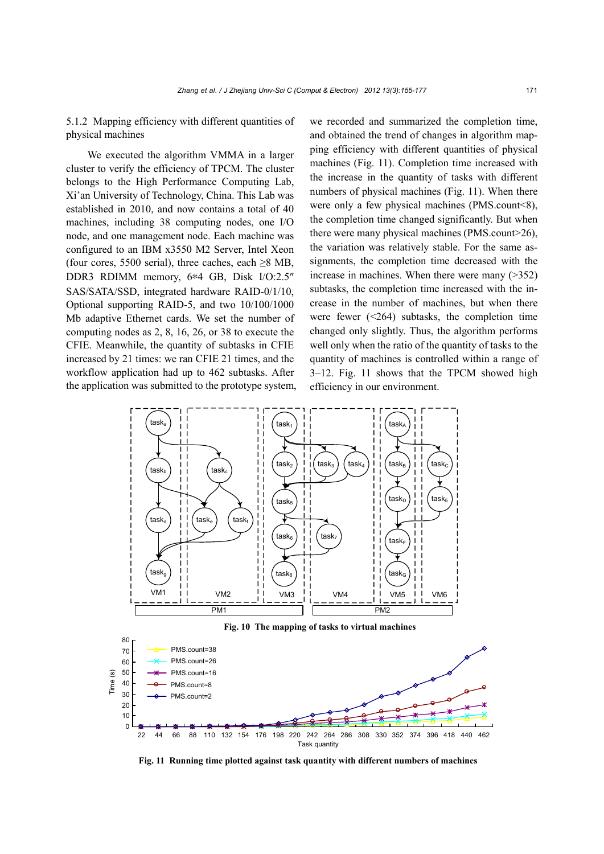5.1.2 Mapping efficiency with different quantities of physical machines

We executed the algorithm VMMA in a larger cluster to verify the efficiency of TPCM. The cluster belongs to the High Performance Computing Lab, Xi'an University of Technology, China. This Lab was established in 2010, and now contains a total of 40 machines, including 38 computing nodes, one I/O node, and one management node. Each machine was configured to an IBM x3550 M2 Server, Intel Xeon (four cores, 5500 serial), three caches, each  $\geq 8$  MB, DDR3 RDIMM memory, 6\*4 GB, Disk I/O:2.5″ SAS/SATA/SSD, integrated hardware RAID-0/1/10, Optional supporting RAID-5, and two 10/100/1000 Mb adaptive Ethernet cards. We set the number of computing nodes as 2, 8, 16, 26, or 38 to execute the CFIE. Meanwhile, the quantity of subtasks in CFIE increased by 21 times: we ran CFIE 21 times, and the workflow application had up to 462 subtasks. After the application was submitted to the prototype system, we recorded and summarized the completion time, and obtained the trend of changes in algorithm mapping efficiency with different quantities of physical machines (Fig. 11). Completion time increased with the increase in the quantity of tasks with different numbers of physical machines (Fig. 11). When there were only a few physical machines (PMS.count<8), the completion time changed significantly. But when there were many physical machines (PMS.count>26), the variation was relatively stable. For the same assignments, the completion time decreased with the increase in machines. When there were many (>352) subtasks, the completion time increased with the increase in the number of machines, but when there were fewer  $(\leq 264)$  subtasks, the completion time changed only slightly. Thus, the algorithm performs well only when the ratio of the quantity of tasks to the quantity of machines is controlled within a range of 3–12. Fig. 11 shows that the TPCM showed high efficiency in our environment.



**Fig. 10 The mapping of tasks to virtual machines** 



**Fig. 11 Running time plotted against task quantity with different numbers of machines**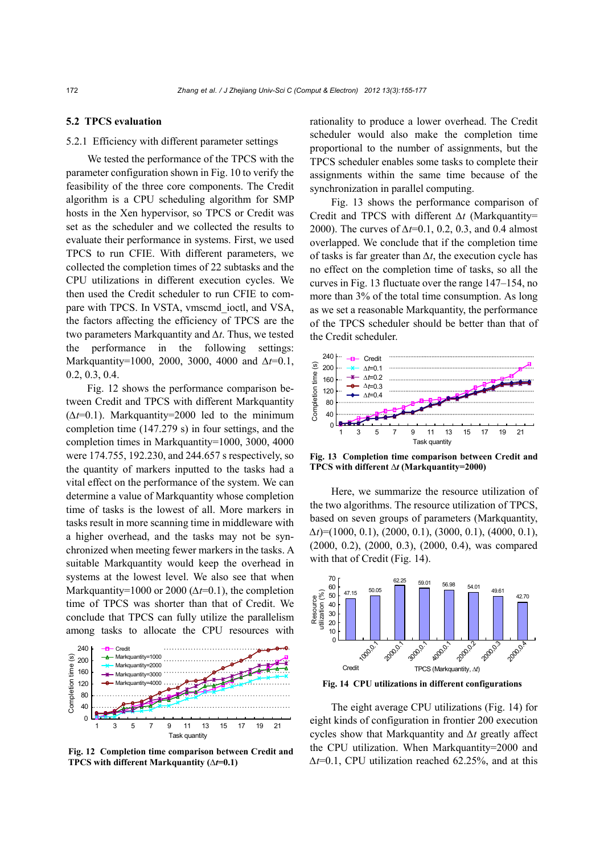# **5.2 TPCS evaluation**

# 5.2.1 Efficiency with different parameter settings

We tested the performance of the TPCS with the parameter configuration shown in Fig. 10 to verify the feasibility of the three core components. The Credit algorithm is a CPU scheduling algorithm for SMP hosts in the Xen hypervisor, so TPCS or Credit was set as the scheduler and we collected the results to evaluate their performance in systems. First, we used TPCS to run CFIE. With different parameters, we collected the completion times of 22 subtasks and the CPU utilizations in different execution cycles. We then used the Credit scheduler to run CFIE to compare with TPCS. In VSTA, vmscmd\_ioctl, and VSA, the factors affecting the efficiency of TPCS are the two parameters Markquantity and *∆t*. Thus, we tested the performance in the following settings: Markquantity=1000, 2000, 3000, 4000 and *∆t*=0.1, 0.2, 0.3, 0.4.

Fig. 12 shows the performance comparison between Credit and TPCS with different Markquantity (*∆t*=0.1). Markquantity=2000 led to the minimum completion time (147.279 s) in four settings, and the completion times in Markquantity=1000, 3000, 4000 were 174.755, 192.230, and 244.657 s respectively, so the quantity of markers inputted to the tasks had a vital effect on the performance of the system. We can determine a value of Markquantity whose completion time of tasks is the lowest of all. More markers in tasks result in more scanning time in middleware with a higher overhead, and the tasks may not be synchronized when meeting fewer markers in the tasks. A suitable Markquantity would keep the overhead in systems at the lowest level. We also see that when Markquantity=1000 or 2000 (*∆t*=0.1), the completion time of TPCS was shorter than that of Credit. We conclude that TPCS can fully utilize the parallelism among tasks to allocate the CPU resources with



**Fig. 12 Completion time comparison between Credit and TPCS with different Markquantity (***∆t***=0.1)**

rationality to produce a lower overhead. The Credit scheduler would also make the completion time proportional to the number of assignments, but the TPCS scheduler enables some tasks to complete their assignments within the same time because of the synchronization in parallel computing.

Fig. 13 shows the performance comparison of Credit and TPCS with different *∆t* (Markquantity= 2000). The curves of  $\Delta t$ =0.1, 0.2, 0.3, and 0.4 almost overlapped. We conclude that if the completion time of tasks is far greater than *∆t*, the execution cycle has no effect on the completion time of tasks, so all the curves in Fig. 13 fluctuate over the range 147–154, no more than 3% of the total time consumption. As long as we set a reasonable Markquantity, the performance of the TPCS scheduler should be better than that of the Credit scheduler.



**Fig. 13 Completion time comparison between Credit and TPCS with different** *∆t* **(Markquantity=2000)** 

Here, we summarize the resource utilization of the two algorithms. The resource utilization of TPCS, based on seven groups of parameters (Markquantity, *∆t*)=(1000, 0.1), (2000, 0.1), (3000, 0.1), (4000, 0.1), (2000, 0.2), (2000, 0.3), (2000, 0.4), was compared with that of Credit (Fig. 14).



**Fig. 14 CPU utilizations in different configurations**

The eight average CPU utilizations (Fig. 14) for eight kinds of configuration in frontier 200 execution cycles show that Markquantity and *∆t* greatly affect the CPU utilization. When Markquantity=2000 and *∆t*=0.1, CPU utilization reached 62.25%, and at this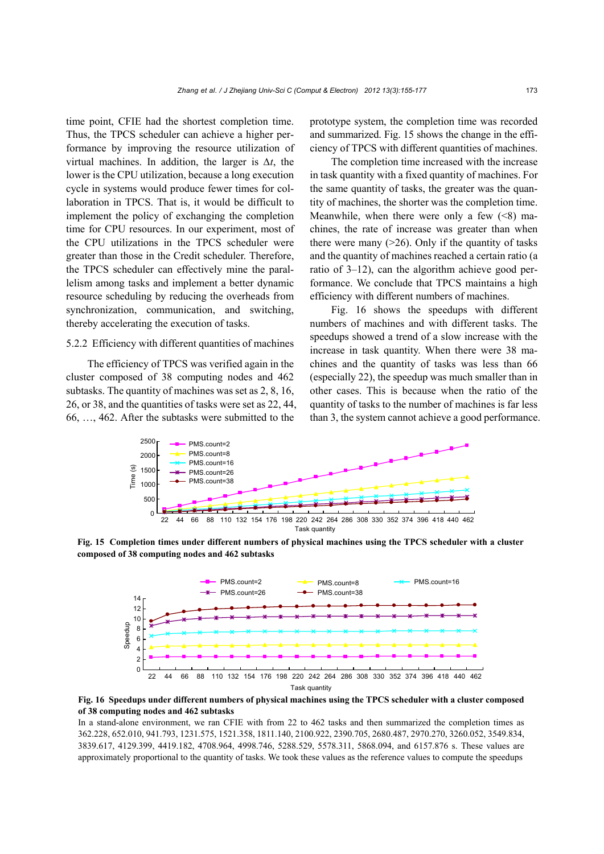time point, CFIE had the shortest completion time. Thus, the TPCS scheduler can achieve a higher performance by improving the resource utilization of virtual machines. In addition, the larger is *∆t*, the lower is the CPU utilization, because a long execution cycle in systems would produce fewer times for collaboration in TPCS. That is, it would be difficult to implement the policy of exchanging the completion time for CPU resources. In our experiment, most of the CPU utilizations in the TPCS scheduler were greater than those in the Credit scheduler. Therefore, the TPCS scheduler can effectively mine the parallelism among tasks and implement a better dynamic resource scheduling by reducing the overheads from synchronization, communication, and switching, thereby accelerating the execution of tasks.

## 5.2.2 Efficiency with different quantities of machines

The efficiency of TPCS was verified again in the cluster composed of 38 computing nodes and 462 subtasks. The quantity of machines was set as 2, 8, 16, 26, or 38, and the quantities of tasks were set as 22, 44, 66, …, 462. After the subtasks were submitted to the

prototype system, the completion time was recorded and summarized. Fig. 15 shows the change in the efficiency of TPCS with different quantities of machines.

The completion time increased with the increase in task quantity with a fixed quantity of machines. For the same quantity of tasks, the greater was the quantity of machines, the shorter was the completion time. Meanwhile, when there were only a few  $(\leq 8)$  machines, the rate of increase was greater than when there were many  $(26)$ . Only if the quantity of tasks and the quantity of machines reached a certain ratio (a ratio of 3–12), can the algorithm achieve good performance. We conclude that TPCS maintains a high efficiency with different numbers of machines.

Fig. 16 shows the speedups with different numbers of machines and with different tasks. The speedups showed a trend of a slow increase with the increase in task quantity. When there were 38 machines and the quantity of tasks was less than 66 (especially 22), the speedup was much smaller than in other cases. This is because when the ratio of the quantity of tasks to the number of machines is far less than 3, the system cannot achieve a good performance.



**Fig. 15 Completion times under different numbers of physical machines using the TPCS scheduler with a cluster composed of 38 computing nodes and 462 subtasks** 



**Fig. 16 Speedups under different numbers of physical machines using the TPCS scheduler with a cluster composed of 38 computing nodes and 462 subtasks** 

In a stand-alone environment, we ran CFIE with from 22 to 462 tasks and then summarized the completion times as 362.228, 652.010, 941.793, 1231.575, 1521.358, 1811.140, 2100.922, 2390.705, 2680.487, 2970.270, 3260.052, 3549.834, 3839.617, 4129.399, 4419.182, 4708.964, 4998.746, 5288.529, 5578.311, 5868.094, and 6157.876 s. These values are approximately proportional to the quantity of tasks. We took these values as the reference values to compute the speedups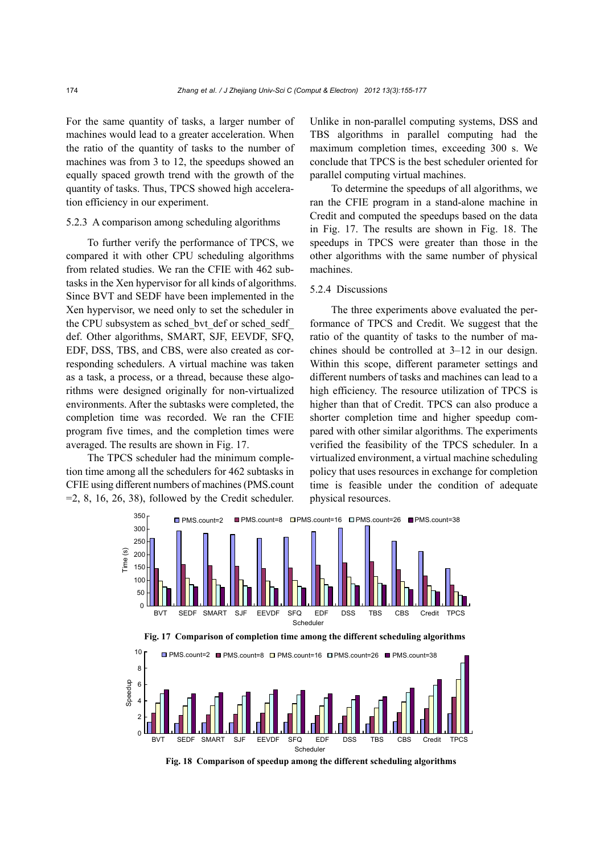For the same quantity of tasks, a larger number of machines would lead to a greater acceleration. When the ratio of the quantity of tasks to the number of machines was from 3 to 12, the speedups showed an equally spaced growth trend with the growth of the quantity of tasks. Thus, TPCS showed high acceleration efficiency in our experiment.

## 5.2.3 A comparison among scheduling algorithms

To further verify the performance of TPCS, we compared it with other CPU scheduling algorithms from related studies. We ran the CFIE with 462 subtasks in the Xen hypervisor for all kinds of algorithms. Since BVT and SEDF have been implemented in the Xen hypervisor, we need only to set the scheduler in the CPU subsystem as sched byt def or sched sedf def. Other algorithms, SMART, SJF, EEVDF, SFQ, EDF, DSS, TBS, and CBS, were also created as corresponding schedulers. A virtual machine was taken as a task, a process, or a thread, because these algorithms were designed originally for non-virtualized environments. After the subtasks were completed, the completion time was recorded. We ran the CFIE program five times, and the completion times were averaged. The results are shown in Fig. 17.

The TPCS scheduler had the minimum completion time among all the schedulers for 462 subtasks in CFIE using different numbers of machines (PMS.count  $=$ 2, 8, 16, 26, 38), followed by the Credit scheduler. Unlike in non-parallel computing systems, DSS and TBS algorithms in parallel computing had the maximum completion times, exceeding 300 s. We conclude that TPCS is the best scheduler oriented for parallel computing virtual machines.

To determine the speedups of all algorithms, we ran the CFIE program in a stand-alone machine in Credit and computed the speedups based on the data in Fig. 17. The results are shown in Fig. 18. The speedups in TPCS were greater than those in the other algorithms with the same number of physical machines.

## 5.2.4 Discussions

The three experiments above evaluated the performance of TPCS and Credit. We suggest that the ratio of the quantity of tasks to the number of machines should be controlled at 3–12 in our design. Within this scope, different parameter settings and different numbers of tasks and machines can lead to a high efficiency. The resource utilization of TPCS is higher than that of Credit. TPCS can also produce a shorter completion time and higher speedup compared with other similar algorithms. The experiments verified the feasibility of the TPCS scheduler. In a virtualized environment, a virtual machine scheduling policy that uses resources in exchange for completion time is feasible under the condition of adequate physical resources.



**Fig. 18 Comparison of speedup among the different scheduling algorithms**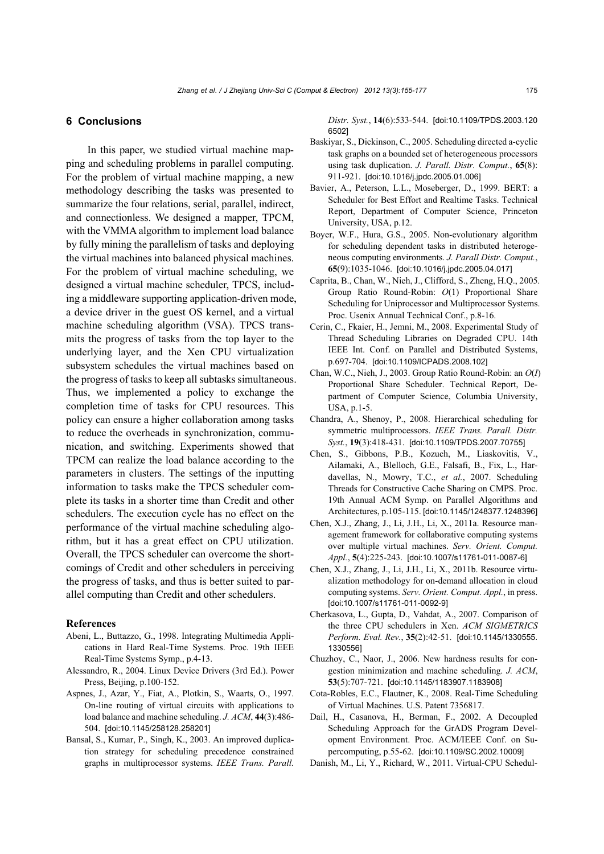# **6 Conclusions**

In this paper, we studied virtual machine mapping and scheduling problems in parallel computing. For the problem of virtual machine mapping, a new methodology describing the tasks was presented to summarize the four relations, serial, parallel, indirect, and connectionless. We designed a mapper, TPCM, with the VMMA algorithm to implement load balance by fully mining the parallelism of tasks and deploying the virtual machines into balanced physical machines. For the problem of virtual machine scheduling, we designed a virtual machine scheduler, TPCS, including a middleware supporting application-driven mode, a device driver in the guest OS kernel, and a virtual machine scheduling algorithm (VSA). TPCS transmits the progress of tasks from the top layer to the underlying layer, and the Xen CPU virtualization subsystem schedules the virtual machines based on the progress of tasks to keep all subtasks simultaneous. Thus, we implemented a policy to exchange the completion time of tasks for CPU resources. This policy can ensure a higher collaboration among tasks to reduce the overheads in synchronization, communication, and switching. Experiments showed that TPCM can realize the load balance according to the parameters in clusters. The settings of the inputting information to tasks make the TPCS scheduler complete its tasks in a shorter time than Credit and other schedulers. The execution cycle has no effect on the performance of the virtual machine scheduling algorithm, but it has a great effect on CPU utilization. Overall, the TPCS scheduler can overcome the shortcomings of Credit and other schedulers in perceiving the progress of tasks, and thus is better suited to parallel computing than Credit and other schedulers.

## **References**

- Abeni, L., Buttazzo, G., 1998. Integrating Multimedia Applications in Hard Real-Time Systems. Proc. 19th IEEE Real-Time Systems Symp., p.4-13.
- Alessandro, R., 2004. Linux Device Drivers (3rd Ed.). Power Press, Beijing, p.100-152.
- Aspnes, J., Azar, Y., Fiat, A., Plotkin, S., Waarts, O., 1997. On-line routing of virtual circuits with applications to load balance and machine scheduling. *J. ACM*, **44**(3):486- 504. [doi:10.1145/258128.258201]
- Bansal, S., Kumar, P., Singh, K., 2003. An improved duplication strategy for scheduling precedence constrained graphs in multiprocessor systems. *IEEE Trans. Parall.*

*Distr. Syst.*, **14**(6):533-544. [doi:10.1109/TPDS.2003.120 6502]

- Baskiyar, S., Dickinson, C., 2005. Scheduling directed a-cyclic task graphs on a bounded set of heterogeneous processors using task duplication. *J. Parall. Distr. Comput.*, **65**(8): 911-921. [doi:10.1016/j.jpdc.2005.01.006]
- Bavier, A., Peterson, L.L., Moseberger, D., 1999. BERT: a Scheduler for Best Effort and Realtime Tasks. Technical Report, Department of Computer Science, Princeton University, USA, p.12.
- Boyer, W.F., Hura, G.S., 2005. Non-evolutionary algorithm for scheduling dependent tasks in distributed heterogeneous computing environments. *J. Parall Distr. Comput.*, **65**(9):1035-1046. [doi:10.1016/j.jpdc.2005.04.017]
- Caprita, B., Chan, W., Nieh, J., Clifford, S., Zheng, H.Q., 2005. Group Ratio Round-Robin: *O*(1) Proportional Share Scheduling for Uniprocessor and Multiprocessor Systems. Proc. Usenix Annual Technical Conf., p.8-16.
- Cerin, C., Fkaier, H., Jemni, M., 2008. Experimental Study of Thread Scheduling Libraries on Degraded CPU. 14th IEEE Int. Conf. on Parallel and Distributed Systems, p.697-704. [doi:10.1109/ICPADS.2008.102]
- Chan, W.C., Nieh, J., 2003. Group Ratio Round-Robin: an *O*(*I*) Proportional Share Scheduler. Technical Report, Department of Computer Science, Columbia University, USA, p.1-5.
- Chandra, A., Shenoy, P., 2008. Hierarchical scheduling for symmetric multiprocessors. *IEEE Trans. Parall. Distr. Syst.*, **19**(3):418-431. [doi:10.1109/TPDS.2007.70755]
- Chen, S., Gibbons, P.B., Kozuch, M., Liaskovitis, V., Ailamaki, A., Blelloch, G.E., Falsafi, B., Fix, L., Hardavellas, N., Mowry, T.C., *et al.*, 2007. Scheduling Threads for Constructive Cache Sharing on CMPS. Proc. 19th Annual ACM Symp. on Parallel Algorithms and Architectures, p.105-115. [doi:10.1145/1248377.1248396]
- Chen, X.J., Zhang, J., Li, J.H., Li, X., 2011a. Resource management framework for collaborative computing systems over multiple virtual machines. *Serv. Orient. Comput. Appl.*, **5**(4):225-243. [doi:10.1007/s11761-011-0087-6]
- Chen, X.J., Zhang, J., Li, J.H., Li, X., 2011b. Resource virtualization methodology for on-demand allocation in cloud computing systems. *Serv. Orient. Comput. Appl.*, in press. [doi:10.1007/s11761-011-0092-9]
- Cherkasova, L., Gupta, D., Vahdat, A., 2007. Comparison of the three CPU schedulers in Xen. *ACM SIGMETRICS Perform. Eval. Rev.*, **35**(2):42-51. [doi:10.1145/1330555. 1330556]
- Chuzhoy, C., Naor, J., 2006. New hardness results for congestion minimization and machine scheduling. *J. ACM*, **53**(5):707-721. [doi:10.1145/1183907.1183908]
- Cota-Robles, E.C., Flautner, K., 2008. Real-Time Scheduling of Virtual Machines. U.S. Patent 7356817.
- Dail, H., Casanova, H., Berman, F., 2002. A Decoupled Scheduling Approach for the GrADS Program Development Environment. Proc. ACM/IEEE Conf. on Supercomputing, p.55-62. [doi:10.1109/SC.2002.10009]
- Danish, M., Li, Y., Richard, W., 2011. Virtual-CPU Schedul-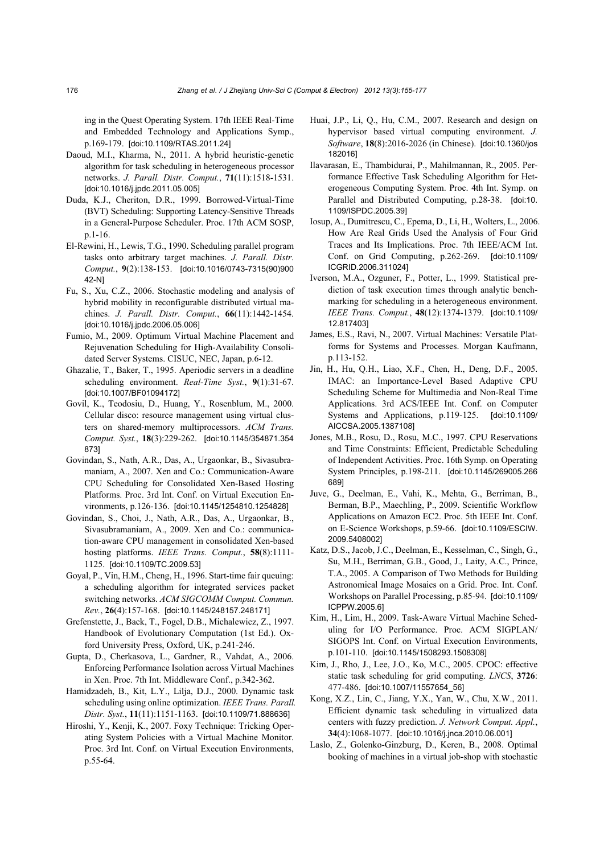ing in the Quest Operating System. 17th IEEE Real-Time and Embedded Technology and Applications Symp., p.169-179. [doi:10.1109/RTAS.2011.24]

- Daoud, M.I., Kharma, N., 2011. A hybrid heuristic-genetic algorithm for task scheduling in heterogeneous processor networks. *J. Parall. Distr. Comput.*, **71**(11):1518-1531. [doi:10.1016/j.jpdc.2011.05.005]
- Duda, K.J., Cheriton, D.R., 1999. Borrowed-Virtual-Time (BVT) Scheduling: Supporting Latency-Sensitive Threads in a General-Purpose Scheduler. Proc. 17th ACM SOSP, p.1-16.
- El-Rewini, H., Lewis, T.G., 1990. Scheduling parallel program tasks onto arbitrary target machines. *J. Parall. Distr. Comput.*, **9**(2):138-153. [doi:10.1016/0743-7315(90)900 42-N]
- Fu, S., Xu, C.Z., 2006. Stochastic modeling and analysis of hybrid mobility in reconfigurable distributed virtual machines. *J. Parall. Distr. Comput.*, **66**(11):1442-1454. [doi:10.1016/j.jpdc.2006.05.006]
- Fumio, M., 2009. Optimum Virtual Machine Placement and Rejuvenation Scheduling for High-Availability Consolidated Server Systems. CISUC, NEC, Japan, p.6-12.
- Ghazalie, T., Baker, T., 1995. Aperiodic servers in a deadline scheduling environment. *Real-Time Syst.*, **9**(1):31-67. [doi:10.1007/BF01094172]
- Govil, K., Teodosiu, D., Huang, Y., Rosenblum, M., 2000. Cellular disco: resource management using virtual clusters on shared-memory multiprocessors. *ACM Trans. Comput. Syst.*, **18**(3):229-262. [doi:10.1145/354871.354 873]
- Govindan, S., Nath, A.R., Das, A., Urgaonkar, B., Sivasubramaniam, A., 2007. Xen and Co.: Communication-Aware CPU Scheduling for Consolidated Xen-Based Hosting Platforms. Proc. 3rd Int. Conf. on Virtual Execution Environments, p.126-136. [doi:10.1145/1254810.1254828]
- Govindan, S., Choi, J., Nath, A.R., Das, A., Urgaonkar, B., Sivasubramaniam, A., 2009. Xen and Co.: communication-aware CPU management in consolidated Xen-based hosting platforms. *IEEE Trans. Comput.*, **58**(8):1111- 1125. [doi:10.1109/TC.2009.53]
- Goyal, P., Vin, H.M., Cheng, H., 1996. Start-time fair queuing: a scheduling algorithm for integrated services packet switching networks. *ACM SIGCOMM Comput. Commun. Rev.*, **26**(4):157-168. [doi:10.1145/248157.248171]
- Grefenstette, J., Back, T., Fogel, D.B., Michalewicz, Z., 1997. Handbook of Evolutionary Computation (1st Ed.). Oxford University Press, Oxford, UK, p.241-246.
- Gupta, D., Cherkasova, L., Gardner, R., Vahdat, A., 2006. Enforcing Performance Isolation across Virtual Machines in Xen. Proc. 7th Int. Middleware Conf., p.342-362.
- Hamidzadeh, B., Kit, L.Y., Lilja, D.J., 2000. Dynamic task scheduling using online optimization. *IEEE Trans. Parall. Distr. Syst.*, **11**(11):1151-1163. [doi:10.1109/71.888636]
- Hiroshi, Y., Kenji, K., 2007. Foxy Technique: Tricking Operating System Policies with a Virtual Machine Monitor. Proc. 3rd Int. Conf. on Virtual Execution Environments, p.55-64.
- Huai, J.P., Li, Q., Hu, C.M., 2007. Research and design on hypervisor based virtual computing environment. *J. Software*, **18**(8):2016-2026 (in Chinese). [doi:10.1360/jos 182016]
- Ilavarasan, E., Thambidurai, P., Mahilmannan, R., 2005. Performance Effective Task Scheduling Algorithm for Heterogeneous Computing System. Proc. 4th Int. Symp. on Parallel and Distributed Computing, p.28-38. [doi:10. 1109/ISPDC.2005.39]
- Iosup, A., Dumitrescu, C., Epema, D., Li, H., Wolters, L., 2006. How Are Real Grids Used the Analysis of Four Grid Traces and Its Implications. Proc. 7th IEEE/ACM Int. Conf. on Grid Computing, p.262-269. [doi:10.1109/ ICGRID.2006.311024]
- Iverson, M.A., Ozguner, F., Potter, L., 1999. Statistical prediction of task execution times through analytic benchmarking for scheduling in a heterogeneous environment. *IEEE Trans. Comput.*, **48**(12):1374-1379. [doi:10.1109/ 12.817403]
- James, E.S., Ravi, N., 2007. Virtual Machines: Versatile Platforms for Systems and Processes. Morgan Kaufmann, p.113-152.
- Jin, H., Hu, Q.H., Liao, X.F., Chen, H., Deng, D.F., 2005. IMAC: an Importance-Level Based Adaptive CPU Scheduling Scheme for Multimedia and Non-Real Time Applications. 3rd ACS/IEEE Int. Conf. on Computer Systems and Applications, p.119-125. [doi:10.1109/ AICCSA.2005.1387108]
- Jones, M.B., Rosu, D., Rosu, M.C., 1997. CPU Reservations and Time Constraints: Efficient, Predictable Scheduling of Independent Activities. Proc. 16th Symp. on Operating System Principles, p.198-211. [doi:10.1145/269005.266 689]
- Juve, G., Deelman, E., Vahi, K., Mehta, G., Berriman, B., Berman, B.P., Maechling, P., 2009. Scientific Workflow Applications on Amazon EC2. Proc. 5th IEEE Int. Conf. on E-Science Workshops, p.59-66. [doi:10.1109/ESCIW. 2009.5408002]
- Katz, D.S., Jacob, J.C., Deelman, E., Kesselman, C., Singh, G., Su, M.H., Berriman, G.B., Good, J., Laity, A.C., Prince, T.A., 2005. A Comparison of Two Methods for Building Astronomical Image Mosaics on a Grid. Proc. Int. Conf. Workshops on Parallel Processing, p.85-94. [doi:10.1109/ ICPPW.2005.6]
- Kim, H., Lim, H., 2009. Task-Aware Virtual Machine Scheduling for I/O Performance. Proc. ACM SIGPLAN/ SIGOPS Int. Conf. on Virtual Execution Environments, p.101-110. [doi:10.1145/1508293.1508308]
- Kim, J., Rho, J., Lee, J.O., Ko, M.C., 2005. CPOC: effective static task scheduling for grid computing. *LNCS*, **3726**: 477-486. [doi:10.1007/11557654\_56]
- Kong, X.Z., Lin, C., Jiang, Y.X., Yan, W., Chu, X.W., 2011. Efficient dynamic task scheduling in virtualized data centers with fuzzy prediction. *J. Network Comput. Appl.*, **34**(4):1068-1077. [doi:10.1016/j.jnca.2010.06.001]
- Laslo, Z., Golenko-Ginzburg, D., Keren, B., 2008. Optimal booking of machines in a virtual job-shop with stochastic